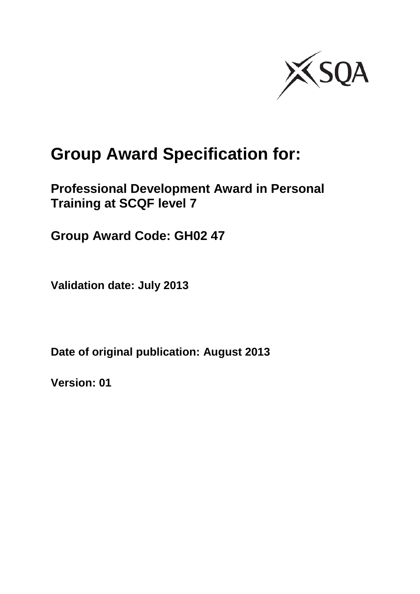

# **Group Award Specification for:**

## **Professional Development Award in Personal Training at SCQF level 7**

**Group Award Code: GH02 47**

**Validation date: July 2013**

**Date of original publication: August 2013**

**Version: 01**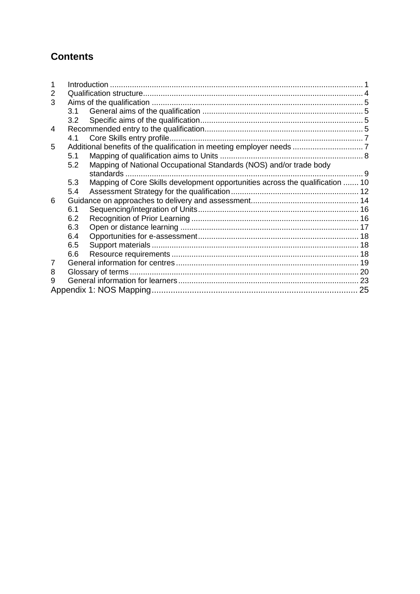### **Contents**

| 2 |     |                                                                               |  |  |  |  |
|---|-----|-------------------------------------------------------------------------------|--|--|--|--|
| 3 |     |                                                                               |  |  |  |  |
|   |     |                                                                               |  |  |  |  |
|   | 3.2 |                                                                               |  |  |  |  |
| 4 |     |                                                                               |  |  |  |  |
|   | 4.1 |                                                                               |  |  |  |  |
| 5 |     |                                                                               |  |  |  |  |
|   | 5.1 |                                                                               |  |  |  |  |
|   | 5.2 | Mapping of National Occupational Standards (NOS) and/or trade body            |  |  |  |  |
|   |     |                                                                               |  |  |  |  |
|   | 5.3 | Mapping of Core Skills development opportunities across the qualification  10 |  |  |  |  |
|   | 5.4 |                                                                               |  |  |  |  |
| 6 |     |                                                                               |  |  |  |  |
|   | 6.1 |                                                                               |  |  |  |  |
|   | 6.2 |                                                                               |  |  |  |  |
|   | 6.3 |                                                                               |  |  |  |  |
|   | 6.4 |                                                                               |  |  |  |  |
|   | 6.5 |                                                                               |  |  |  |  |
|   | 6.6 |                                                                               |  |  |  |  |
| 7 |     |                                                                               |  |  |  |  |
| 8 |     |                                                                               |  |  |  |  |
| 9 |     |                                                                               |  |  |  |  |
|   |     |                                                                               |  |  |  |  |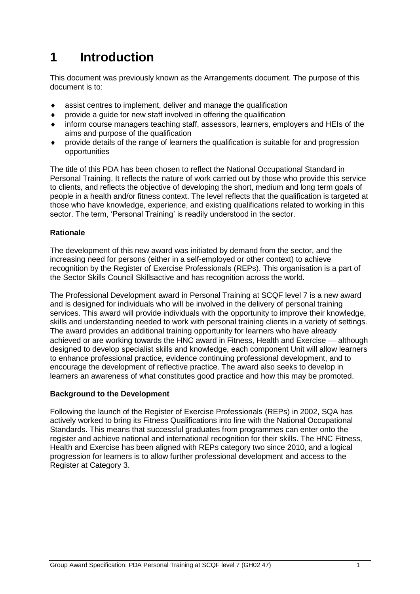## <span id="page-2-0"></span>**1 Introduction**

This document was previously known as the Arrangements document. The purpose of this document is to:

- assist centres to implement, deliver and manage the qualification
- $\bullet$  provide a quide for new staff involved in offering the qualification
- inform course managers teaching staff, assessors, learners, employers and HEIs of the aims and purpose of the qualification
- provide details of the range of learners the qualification is suitable for and progression opportunities

The title of this PDA has been chosen to reflect the National Occupational Standard in Personal Training. It reflects the nature of work carried out by those who provide this service to clients, and reflects the objective of developing the short, medium and long term goals of people in a health and/or fitness context. The level reflects that the qualification is targeted at those who have knowledge, experience, and existing qualifications related to working in this sector. The term, 'Personal Training' is readily understood in the sector.

#### **Rationale**

The development of this new award was initiated by demand from the sector, and the increasing need for persons (either in a self-employed or other context) to achieve recognition by the Register of Exercise Professionals (REPs). This organisation is a part of the Sector Skills Council Skillsactive and has recognition across the world.

The Professional Development award in Personal Training at SCQF level 7 is a new award and is designed for individuals who will be involved in the delivery of personal training services. This award will provide individuals with the opportunity to improve their knowledge, skills and understanding needed to work with personal training clients in a variety of settings. The award provides an additional training opportunity for learners who have already achieved or are working towards the HNC award in Fitness, Health and Exercise — although designed to develop specialist skills and knowledge, each component Unit will allow learners to enhance professional practice, evidence continuing professional development, and to encourage the development of reflective practice. The award also seeks to develop in learners an awareness of what constitutes good practice and how this may be promoted.

#### **Background to the Development**

Following the launch of the Register of Exercise Professionals (REPs) in 2002, SQA has actively worked to bring its Fitness Qualifications into line with the National Occupational Standards. This means that successful graduates from programmes can enter onto the register and achieve national and international recognition for their skills. The HNC Fitness, Health and Exercise has been aligned with REPs category two since 2010, and a logical progression for learners is to allow further professional development and access to the Register at Category 3.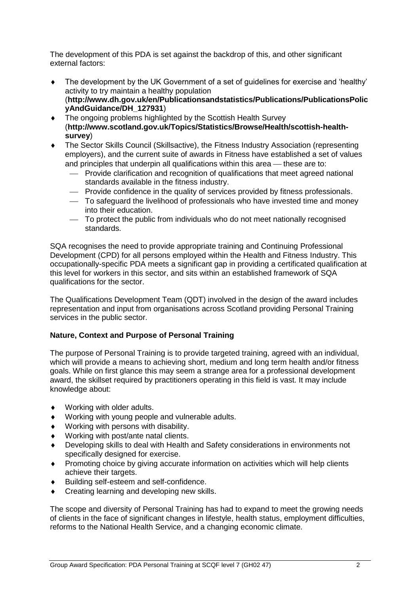The development of this PDA is set against the backdrop of this, and other significant external factors:

- The development by the UK Government of a set of guidelines for exercise and 'healthy' activity to try maintain a healthy population (**[http://www.dh.gov.uk/en/Publicationsandstatistics/Publications/PublicationsPolic](http://www.dh.gov.uk/en/Publicationsandstatistics/Publications/PublicationsPolicyAndGuidance/DH_127931) [yAndGuidance/DH\\_127931](http://www.dh.gov.uk/en/Publicationsandstatistics/Publications/PublicationsPolicyAndGuidance/DH_127931)**)
- The ongoing problems highlighted by the Scottish Health Survey (**[http://www.scotland.gov.uk/Topics/Statistics/Browse/Health/scottish-health](http://www.scotland.gov.uk/Topics/Statistics/Browse/Health/scottish-health-survey)[survey](http://www.scotland.gov.uk/Topics/Statistics/Browse/Health/scottish-health-survey)**)
- The Sector Skills Council (Skillsactive), the Fitness Industry Association (representing employers), and the current suite of awards in Fitness have established a set of values and principles that underpin all qualifications within this area  $-$  these are to:
	- Provide clarification and recognition of qualifications that meet agreed national standards available in the fitness industry.
	- Provide confidence in the quality of services provided by fitness professionals.
	- To safeguard the livelihood of professionals who have invested time and money into their education.
	- To protect the public from individuals who do not meet nationally recognised standards.

SQA recognises the need to provide appropriate training and Continuing Professional Development (CPD) for all persons employed within the Health and Fitness Industry. This occupationally-specific PDA meets a significant gap in providing a certificated qualification at this level for workers in this sector, and sits within an established framework of SQA qualifications for the sector.

The Qualifications Development Team (QDT) involved in the design of the award includes representation and input from organisations across Scotland providing Personal Training services in the public sector.

#### **Nature, Context and Purpose of Personal Training**

The purpose of Personal Training is to provide targeted training, agreed with an individual, which will provide a means to achieving short, medium and long term health and/or fitness goals. While on first glance this may seem a strange area for a professional development award, the skillset required by practitioners operating in this field is vast. It may include knowledge about:

- Working with older adults.
- Working with young people and vulnerable adults.
- Working with persons with disability.
- Working with post/ante natal clients.
- Developing skills to deal with Health and Safety considerations in environments not specifically designed for exercise.
- Promoting choice by giving accurate information on activities which will help clients achieve their targets.
- Building self-esteem and self-confidence.
- ◆ Creating learning and developing new skills.

The scope and diversity of Personal Training has had to expand to meet the growing needs of clients in the face of significant changes in lifestyle, health status, employment difficulties, reforms to the National Health Service, and a changing economic climate.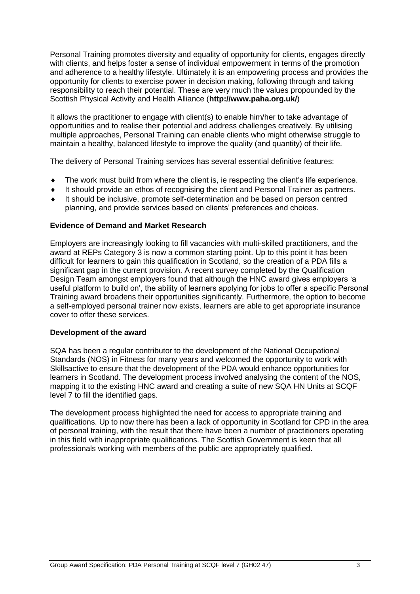Personal Training promotes diversity and equality of opportunity for clients, engages directly with clients, and helps foster a sense of individual empowerment in terms of the promotion and adherence to a healthy lifestyle. Ultimately it is an empowering process and provides the opportunity for clients to exercise power in decision making, following through and taking responsibility to reach their potential. These are very much the values propounded by the Scottish Physical Activity and Health Alliance (**<http://www.paha.org.uk/>**)

It allows the practitioner to engage with client(s) to enable him/her to take advantage of opportunities and to realise their potential and address challenges creatively. By utilising multiple approaches, Personal Training can enable clients who might otherwise struggle to maintain a healthy, balanced lifestyle to improve the quality (and quantity) of their life.

The delivery of Personal Training services has several essential definitive features:

- The work must build from where the client is, ie respecting the client's life experience.
- It should provide an ethos of recognising the client and Personal Trainer as partners.
- It should be inclusive, promote self-determination and be based on person centred planning, and provide services based on clients' preferences and choices.

#### **Evidence of Demand and Market Research**

Employers are increasingly looking to fill vacancies with multi-skilled practitioners, and the award at REPs Category 3 is now a common starting point. Up to this point it has been difficult for learners to gain this qualification in Scotland, so the creation of a PDA fills a significant gap in the current provision. A recent survey completed by the Qualification Design Team amongst employers found that although the HNC award gives employers 'a useful platform to build on', the ability of learners applying for jobs to offer a specific Personal Training award broadens their opportunities significantly. Furthermore, the option to become a self-employed personal trainer now exists, learners are able to get appropriate insurance cover to offer these services.

#### **Development of the award**

SQA has been a regular contributor to the development of the National Occupational Standards (NOS) in Fitness for many years and welcomed the opportunity to work with Skillsactive to ensure that the development of the PDA would enhance opportunities for learners in Scotland. The development process involved analysing the content of the NOS, mapping it to the existing HNC award and creating a suite of new SQA HN Units at SCQF level 7 to fill the identified gaps.

The development process highlighted the need for access to appropriate training and qualifications. Up to now there has been a lack of opportunity in Scotland for CPD in the area of personal training, with the result that there have been a number of practitioners operating in this field with inappropriate qualifications. The Scottish Government is keen that all professionals working with members of the public are appropriately qualified.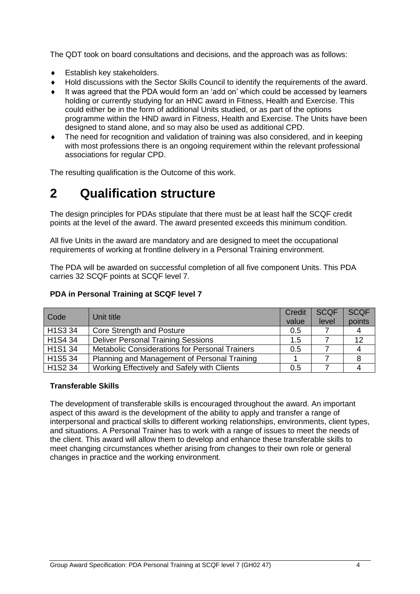The QDT took on board consultations and decisions, and the approach was as follows:

- Establish key stakeholders.
- Hold discussions with the Sector Skills Council to identify the requirements of the award.
- It was agreed that the PDA would form an 'add on' which could be accessed by learners holding or currently studying for an HNC award in Fitness, Health and Exercise. This could either be in the form of additional Units studied, or as part of the options programme within the HND award in Fitness, Health and Exercise. The Units have been designed to stand alone, and so may also be used as additional CPD.
- The need for recognition and validation of training was also considered, and in keeping with most professions there is an ongoing requirement within the relevant professional associations for regular CPD.

The resulting qualification is the Outcome of this work.

## <span id="page-5-0"></span>**2 Qualification structure**

The design principles for PDAs stipulate that there must be at least half the SCQF credit points at the level of the award. The award presented exceeds this minimum condition.

All five Units in the award are mandatory and are designed to meet the occupational requirements of working at frontline delivery in a Personal Training environment.

The PDA will be awarded on successful completion of all five component Units. This PDA carries 32 SCQF points at SCQF level 7.

#### **PDA in Personal Training at SCQF level 7**

| Code    | Unit title                                            | <b>Credit</b> | <b>SCQF</b> | <b>SCQF</b> |
|---------|-------------------------------------------------------|---------------|-------------|-------------|
|         |                                                       | value         | level       | points      |
| H1S3 34 | Core Strength and Posture                             | 0.5           |             |             |
| H1S4 34 | <b>Deliver Personal Training Sessions</b>             | 1.5           |             | 12          |
| H1S1 34 | <b>Metabolic Considerations for Personal Trainers</b> | 0.5           |             |             |
| H1S5 34 | Planning and Management of Personal Training          |               |             |             |
| H1S2 34 | Working Effectively and Safely with Clients           | 0.5           |             |             |

#### **Transferable Skills**

The development of transferable skills is encouraged throughout the award. An important aspect of this award is the development of the ability to apply and transfer a range of interpersonal and practical skills to different working relationships, environments, client types, and situations. A Personal Trainer has to work with a range of issues to meet the needs of the client. This award will allow them to develop and enhance these transferable skills to meet changing circumstances whether arising from changes to their own role or general changes in practice and the working environment.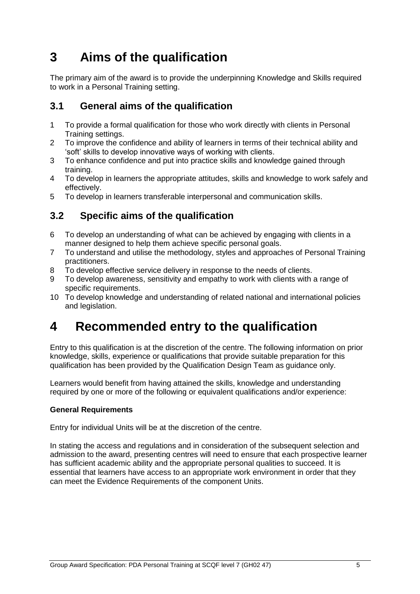## <span id="page-6-0"></span>**3 Aims of the qualification**

The primary aim of the award is to provide the underpinning Knowledge and Skills required to work in a Personal Training setting.

### <span id="page-6-1"></span>**3.1 General aims of the qualification**

- 1 To provide a formal qualification for those who work directly with clients in Personal Training settings.
- 2 To improve the confidence and ability of learners in terms of their technical ability and 'soft' skills to develop innovative ways of working with clients.
- 3 To enhance confidence and put into practice skills and knowledge gained through training.
- 4 To develop in learners the appropriate attitudes, skills and knowledge to work safely and effectively.
- 5 To develop in learners transferable interpersonal and communication skills.

### <span id="page-6-2"></span>**3.2 Specific aims of the qualification**

- 6 To develop an understanding of what can be achieved by engaging with clients in a manner designed to help them achieve specific personal goals.
- 7 To understand and utilise the methodology, styles and approaches of Personal Training practitioners.
- 8 To develop effective service delivery in response to the needs of clients.
- 9 To develop awareness, sensitivity and empathy to work with clients with a range of specific requirements.
- 10 To develop knowledge and understanding of related national and international policies and legislation.

## <span id="page-6-3"></span>**4 Recommended entry to the qualification**

Entry to this qualification is at the discretion of the centre. The following information on prior knowledge, skills, experience or qualifications that provide suitable preparation for this qualification has been provided by the Qualification Design Team as guidance only.

Learners would benefit from having attained the skills, knowledge and understanding required by one or more of the following or equivalent qualifications and/or experience:

#### **General Requirements**

Entry for individual Units will be at the discretion of the centre.

In stating the access and regulations and in consideration of the subsequent selection and admission to the award, presenting centres will need to ensure that each prospective learner has sufficient academic ability and the appropriate personal qualities to succeed. It is essential that learners have access to an appropriate work environment in order that they can meet the Evidence Requirements of the component Units.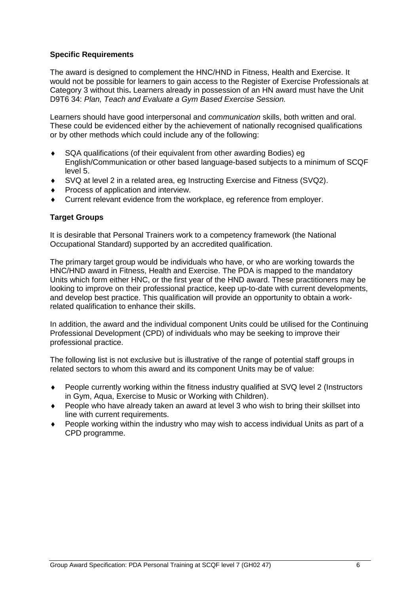#### **Specific Requirements**

The award is designed to complement the HNC/HND in Fitness, Health and Exercise. It would not be possible for learners to gain access to the Register of Exercise Professionals at Category 3 without this**.** Learners already in possession of an HN award must have the Unit D9T6 34: *Plan, Teach and Evaluate a Gym Based Exercise Session.*

Learners should have good interpersonal and *communication* skills, both written and oral. These could be evidenced either by the achievement of nationally recognised qualifications or by other methods which could include any of the following:

- SQA qualifications (of their equivalent from other awarding Bodies) eg English/Communication or other based language-based subjects to a minimum of SCQF level 5.
- SVQ at level 2 in a related area, eg Instructing Exercise and Fitness (SVQ2).
- Process of application and interview.
- Current relevant evidence from the workplace, eg reference from employer.

#### **Target Groups**

It is desirable that Personal Trainers work to a competency framework (the National Occupational Standard) supported by an accredited qualification.

The primary target group would be individuals who have, or who are working towards the HNC/HND award in Fitness, Health and Exercise. The PDA is mapped to the mandatory Units which form either HNC, or the first year of the HND award. These practitioners may be looking to improve on their professional practice, keep up-to-date with current developments, and develop best practice. This qualification will provide an opportunity to obtain a workrelated qualification to enhance their skills.

In addition, the award and the individual component Units could be utilised for the Continuing Professional Development (CPD) of individuals who may be seeking to improve their professional practice.

The following list is not exclusive but is illustrative of the range of potential staff groups in related sectors to whom this award and its component Units may be of value:

- People currently working within the fitness industry qualified at SVQ level 2 (Instructors in Gym, Aqua, Exercise to Music or Working with Children).
- People who have already taken an award at level 3 who wish to bring their skillset into line with current requirements.
- People working within the industry who may wish to access individual Units as part of a CPD programme.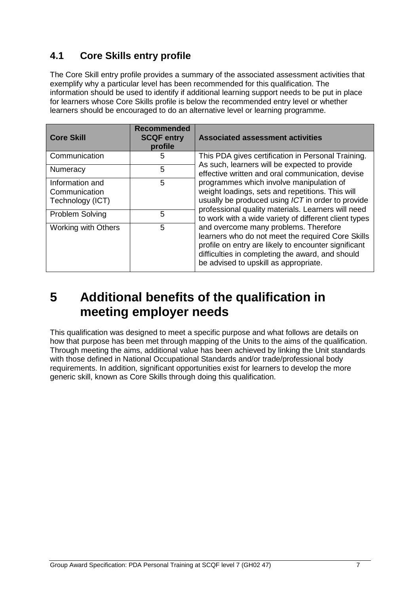## <span id="page-8-0"></span>**4.1 Core Skills entry profile**

The Core Skill entry profile provides a summary of the associated assessment activities that exemplify why a particular level has been recommended for this qualification. The information should be used to identify if additional learning support needs to be put in place for learners whose Core Skills profile is below the recommended entry level or whether learners should be encouraged to do an alternative level or learning programme.

| <b>Core Skill</b>                                    | <b>Recommended</b><br><b>SCQF entry</b><br>profile | <b>Associated assessment activities</b>                                                                                                                                                                                                         |
|------------------------------------------------------|----------------------------------------------------|-------------------------------------------------------------------------------------------------------------------------------------------------------------------------------------------------------------------------------------------------|
| Communication                                        | 5                                                  | This PDA gives certification in Personal Training.                                                                                                                                                                                              |
| 5<br><b>Numeracy</b>                                 |                                                    | As such, learners will be expected to provide<br>effective written and oral communication, devise                                                                                                                                               |
| Information and<br>Communication<br>Technology (ICT) | 5                                                  | programmes which involve manipulation of<br>weight loadings, sets and repetitions. This will<br>usually be produced using ICT in order to provide                                                                                               |
| <b>Problem Solving</b>                               | 5                                                  | professional quality materials. Learners will need<br>to work with a wide variety of different client types                                                                                                                                     |
| 5<br><b>Working with Others</b>                      |                                                    | and overcome many problems. Therefore<br>learners who do not meet the required Core Skills<br>profile on entry are likely to encounter significant<br>difficulties in completing the award, and should<br>be advised to upskill as appropriate. |

## <span id="page-8-1"></span>**5 Additional benefits of the qualification in meeting employer needs**

This qualification was designed to meet a specific purpose and what follows are details on how that purpose has been met through mapping of the Units to the aims of the qualification. Through meeting the aims, additional value has been achieved by linking the Unit standards with those defined in National Occupational Standards and/or trade/professional body requirements. In addition, significant opportunities exist for learners to develop the more generic skill, known as Core Skills through doing this qualification.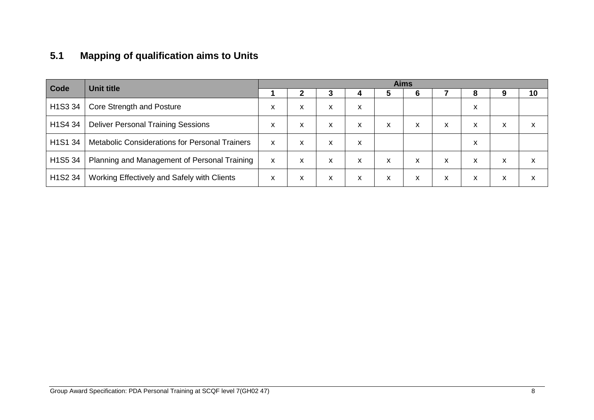## **5.1 Mapping of qualification aims to Units**

<span id="page-9-0"></span>

| Code<br><b>Unit title</b>        |                                                       | <b>Aims</b> |   |   |   |   |   |   |   |   |    |
|----------------------------------|-------------------------------------------------------|-------------|---|---|---|---|---|---|---|---|----|
|                                  |                                                       |             |   | J |   |   |   |   | 8 |   | 10 |
| H <sub>1</sub> S <sub>3</sub> 34 | Core Strength and Posture                             | x           | x | X | x |   |   |   | X |   |    |
| H <sub>1</sub> S <sub>4</sub> 34 | <b>Deliver Personal Training Sessions</b>             | x           | X | X | x | x | X | X | x | X | X  |
| H1S1 34                          | <b>Metabolic Considerations for Personal Trainers</b> | x           | X | X | x |   |   |   | X |   |    |
| H <sub>1</sub> S <sub>5</sub> 34 | Planning and Management of Personal Training          | X           | X | X | X | x | X | X | x | X | X  |
| H <sub>1</sub> S <sub>2</sub> 34 | Working Effectively and Safely with Clients           | x           | x | x | X | x | X | X | x | x | X  |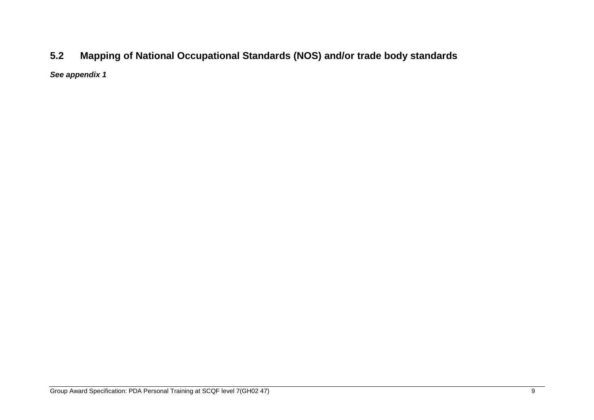## **5.2 Mapping of National Occupational Standards (NOS) and/or trade body standards**

<span id="page-10-0"></span>*See appendix 1*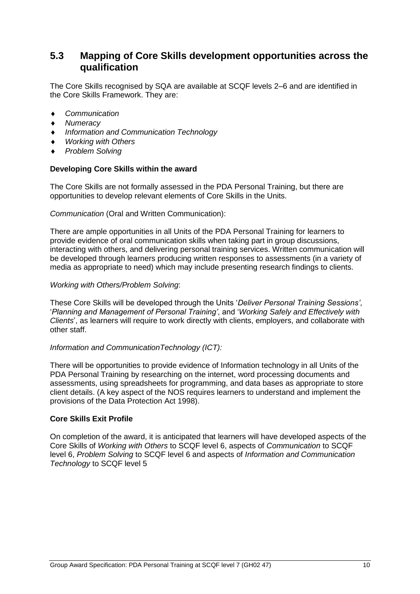### <span id="page-11-0"></span>**5.3 Mapping of Core Skills development opportunities across the qualification**

The Core Skills recognised by SQA are available at SCQF levels 2–6 and are identified in the Core Skills Framework. They are:

- *Communication*
- *Numeracy*
- *Information and Communication Technology*
- *Working with Others*
- *Problem Solving*

#### **Developing Core Skills within the award**

The Core Skills are not formally assessed in the PDA Personal Training, but there are opportunities to develop relevant elements of Core Skills in the Units.

#### *Communication* (Oral and Written Communication):

There are ample opportunities in all Units of the PDA Personal Training for learners to provide evidence of oral communication skills when taking part in group discussions, interacting with others, and delivering personal training services. Written communication will be developed through learners producing written responses to assessments (in a variety of media as appropriate to need) which may include presenting research findings to clients.

#### *Working with Others/Problem Solving*:

These Core Skills will be developed through the Units '*Deliver Personal Training Sessions'*, '*Planning and Management of Personal Training'*, and '*Working Safely and Effectively with Clients*', as learners will require to work directly with clients, employers, and collaborate with other staff.

#### *Information and CommunicationTechnology (ICT):*

There will be opportunities to provide evidence of Information technology in all Units of the PDA Personal Training by researching on the internet, word processing documents and assessments, using spreadsheets for programming, and data bases as appropriate to store client details. (A key aspect of the NOS requires learners to understand and implement the provisions of the Data Protection Act 1998).

#### **Core Skills Exit Profile**

On completion of the award, it is anticipated that learners will have developed aspects of the Core Skills of *Working with Others* to SCQF level 6, aspects of *Communication* to SCQF level 6, *Problem Solving* to SCQF level 6 and aspects of *Information and Communication Technology* to SCQF level 5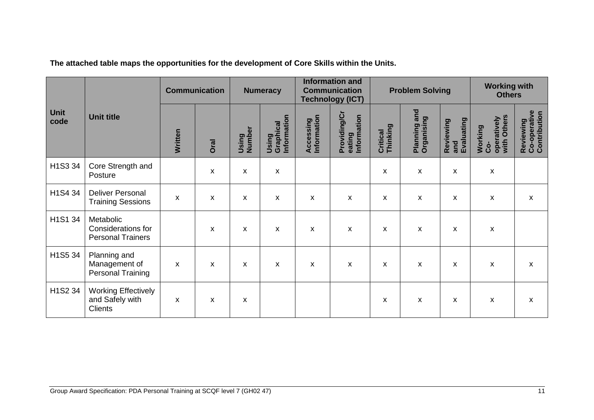|                     |                                                                 | <b>Communication</b> |      | <b>Numeracy</b>           |                                   | <b>Information and</b><br><b>Communication</b><br><b>Technology (ICT)</b> |                                       | <b>Problem Solving</b> |                                  |                                | <b>Working with</b><br><b>Others</b>         |                                           |
|---------------------|-----------------------------------------------------------------|----------------------|------|---------------------------|-----------------------------------|---------------------------------------------------------------------------|---------------------------------------|------------------------|----------------------------------|--------------------------------|----------------------------------------------|-------------------------------------------|
| <b>Unit</b><br>code | <b>Unit title</b>                                               | Written              | Oral | Using<br>Number           | Using<br>Graphical<br>Information | Information<br>Accessing                                                  | Providing/Cr<br>eating<br>Information | Thinking<br>Critical   | and<br>Planning an<br>Organising | Evaluating<br>Reviewing<br>and | with Others<br>operatively<br>Working<br>Ċo- | Reviewing<br>Co-operative<br>Contribution |
| H1S3 34             | Core Strength and<br>Posture                                    |                      | X    | X                         | X                                 |                                                                           |                                       | X                      | X                                | X                              | $\pmb{\mathsf{x}}$                           |                                           |
| H1S4 34             | <b>Deliver Personal</b><br><b>Training Sessions</b>             | $\pmb{\mathsf{X}}$   | X    | X                         | X                                 | X                                                                         | X                                     | X                      | $\pmb{\mathsf{X}}$               | X                              | X                                            | X                                         |
| H1S1 34             | Metabolic<br>Considerations for<br><b>Personal Trainers</b>     |                      | X    | $\boldsymbol{\mathsf{X}}$ | X                                 | X                                                                         | X                                     | X                      | $\boldsymbol{\mathsf{X}}$        | X                              | $\pmb{\mathsf{x}}$                           |                                           |
| H1S5 34             | Planning and<br>Management of<br><b>Personal Training</b>       | X                    | X    | $\boldsymbol{\mathsf{X}}$ | X                                 | $\boldsymbol{\mathsf{x}}$                                                 | X                                     | X                      | $\boldsymbol{\mathsf{X}}$        | X                              | $\pmb{\mathsf{X}}$                           | X                                         |
| H1S2 34             | <b>Working Effectively</b><br>and Safely with<br><b>Clients</b> | X                    | X    | X                         |                                   |                                                                           |                                       | X                      | X                                | X                              | X                                            | X                                         |

**The attached table maps the opportunities for the development of Core Skills within the Units.**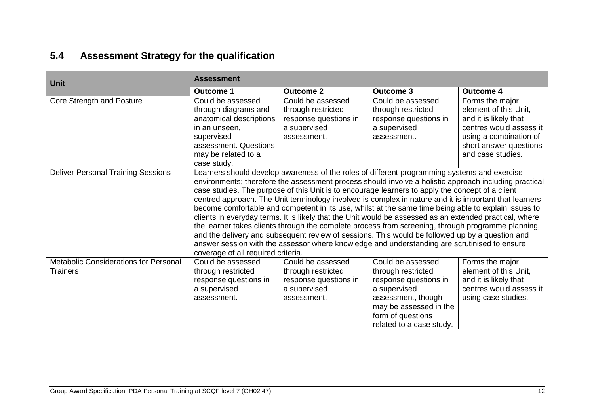## **5.4 Assessment Strategy for the qualification**

<span id="page-13-0"></span>

| Unit                                      | <b>Assessment</b>                  |                       |                                                                                                         |                         |  |  |  |
|-------------------------------------------|------------------------------------|-----------------------|---------------------------------------------------------------------------------------------------------|-------------------------|--|--|--|
|                                           | Outcome 1                          | <b>Outcome 2</b>      | <b>Outcome 3</b>                                                                                        | <b>Outcome 4</b>        |  |  |  |
| Core Strength and Posture                 | Could be assessed                  | Could be assessed     | Could be assessed                                                                                       | Forms the major         |  |  |  |
|                                           | through diagrams and               | through restricted    | through restricted                                                                                      | element of this Unit,   |  |  |  |
|                                           | anatomical descriptions            | response questions in | response questions in                                                                                   | and it is likely that   |  |  |  |
|                                           | in an unseen,                      | a supervised          | a supervised                                                                                            | centres would assess it |  |  |  |
|                                           | supervised                         | assessment.           | assessment.                                                                                             | using a combination of  |  |  |  |
|                                           | assessment. Questions              |                       |                                                                                                         | short answer questions  |  |  |  |
|                                           | may be related to a                |                       |                                                                                                         | and case studies.       |  |  |  |
|                                           | case study.                        |                       |                                                                                                         |                         |  |  |  |
| <b>Deliver Personal Training Sessions</b> |                                    |                       | Learners should develop awareness of the roles of different programming systems and exercise            |                         |  |  |  |
|                                           |                                    |                       | environments; therefore the assessment process should involve a holistic approach including practical   |                         |  |  |  |
|                                           |                                    |                       | case studies. The purpose of this Unit is to encourage learners to apply the concept of a client        |                         |  |  |  |
|                                           |                                    |                       | centred approach. The Unit terminology involved is complex in nature and it is important that learners  |                         |  |  |  |
|                                           |                                    |                       | become comfortable and competent in its use, whilst at the same time being able to explain issues to    |                         |  |  |  |
|                                           |                                    |                       | clients in everyday terms. It is likely that the Unit would be assessed as an extended practical, where |                         |  |  |  |
|                                           |                                    |                       | the learner takes clients through the complete process from screening, through programme planning,      |                         |  |  |  |
|                                           |                                    |                       | and the delivery and subsequent review of sessions. This would be followed up by a question and         |                         |  |  |  |
|                                           |                                    |                       | answer session with the assessor where knowledge and understanding are scrutinised to ensure            |                         |  |  |  |
|                                           | coverage of all required criteria. |                       |                                                                                                         |                         |  |  |  |
| Metabolic Considerations for Personal     | Could be assessed                  | Could be assessed     | Could be assessed                                                                                       | Forms the major         |  |  |  |
| <b>Trainers</b>                           | through restricted                 | through restricted    | through restricted                                                                                      | element of this Unit,   |  |  |  |
|                                           | response questions in              | response questions in | response questions in                                                                                   | and it is likely that   |  |  |  |
|                                           | a supervised                       | a supervised          | a supervised                                                                                            | centres would assess it |  |  |  |
|                                           | assessment.                        | assessment.           | assessment, though                                                                                      | using case studies.     |  |  |  |
|                                           |                                    |                       | may be assessed in the                                                                                  |                         |  |  |  |
|                                           |                                    |                       | form of questions                                                                                       |                         |  |  |  |
|                                           |                                    |                       | related to a case study.                                                                                |                         |  |  |  |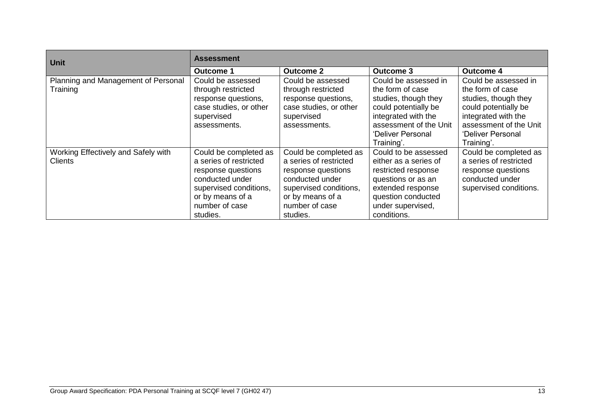| <b>Unit</b>                                           | <b>Assessment</b>                                                                                                                                                    |                                                                                                                                                                      |                                                                                                                                                                              |                                                                                                                                                                              |  |  |  |
|-------------------------------------------------------|----------------------------------------------------------------------------------------------------------------------------------------------------------------------|----------------------------------------------------------------------------------------------------------------------------------------------------------------------|------------------------------------------------------------------------------------------------------------------------------------------------------------------------------|------------------------------------------------------------------------------------------------------------------------------------------------------------------------------|--|--|--|
|                                                       | <b>Outcome 2</b><br><b>Outcome 1</b>                                                                                                                                 |                                                                                                                                                                      | Outcome 3                                                                                                                                                                    | <b>Outcome 4</b>                                                                                                                                                             |  |  |  |
| Planning and Management of Personal<br>Training       | Could be assessed<br>through restricted<br>response questions,<br>case studies, or other<br>supervised<br>assessments.                                               | Could be assessed<br>through restricted<br>response questions,<br>case studies, or other<br>supervised<br>assessments.                                               | Could be assessed in<br>the form of case<br>studies, though they<br>could potentially be<br>integrated with the<br>assessment of the Unit<br>'Deliver Personal<br>Training'. | Could be assessed in<br>the form of case<br>studies, though they<br>could potentially be<br>integrated with the<br>assessment of the Unit<br>'Deliver Personal<br>Training'. |  |  |  |
| Working Effectively and Safely with<br><b>Clients</b> | Could be completed as<br>a series of restricted<br>response questions<br>conducted under<br>supervised conditions,<br>or by means of a<br>number of case<br>studies. | Could be completed as<br>a series of restricted<br>response questions<br>conducted under<br>supervised conditions,<br>or by means of a<br>number of case<br>studies. | Could to be assessed<br>either as a series of<br>restricted response<br>questions or as an<br>extended response<br>question conducted<br>under supervised,<br>conditions.    | Could be completed as<br>a series of restricted<br>response questions<br>conducted under<br>supervised conditions.                                                           |  |  |  |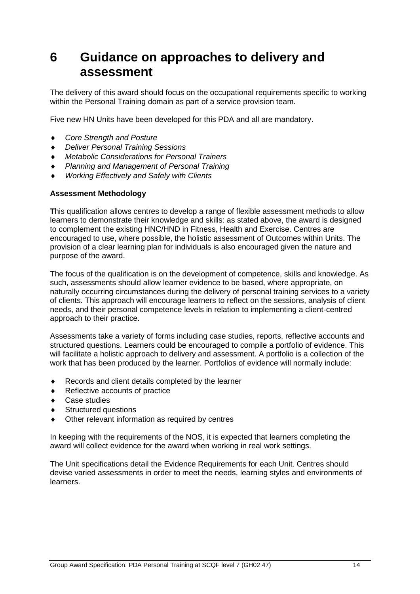## <span id="page-15-0"></span>**6 Guidance on approaches to delivery and assessment**

The delivery of this award should focus on the occupational requirements specific to working within the Personal Training domain as part of a service provision team.

Five new HN Units have been developed for this PDA and all are mandatory.

- *Core Strength and Posture*
- *Deliver Personal Training Sessions*
- *Metabolic Considerations for Personal Trainers*
- *Planning and Management of Personal Training*
- *Working Effectively and Safely with Clients*

#### **Assessment Methodology**

**T**his qualification allows centres to develop a range of flexible assessment methods to allow learners to demonstrate their knowledge and skills: as stated above, the award is designed to complement the existing HNC/HND in Fitness, Health and Exercise. Centres are encouraged to use, where possible, the holistic assessment of Outcomes within Units. The provision of a clear learning plan for individuals is also encouraged given the nature and purpose of the award.

The focus of the qualification is on the development of competence, skills and knowledge. As such, assessments should allow learner evidence to be based, where appropriate, on naturally occurring circumstances during the delivery of personal training services to a variety of clients. This approach will encourage learners to reflect on the sessions, analysis of client needs, and their personal competence levels in relation to implementing a client-centred approach to their practice.

Assessments take a variety of forms including case studies, reports, reflective accounts and structured questions. Learners could be encouraged to compile a portfolio of evidence. This will facilitate a holistic approach to delivery and assessment. A portfolio is a collection of the work that has been produced by the learner. Portfolios of evidence will normally include:

- Records and client details completed by the learner
- Reflective accounts of practice
- Case studies
- Structured questions
- Other relevant information as required by centres

In keeping with the requirements of the NOS, it is expected that learners completing the award will collect evidence for the award when working in real work settings.

The Unit specifications detail the Evidence Requirements for each Unit. Centres should devise varied assessments in order to meet the needs, learning styles and environments of learners.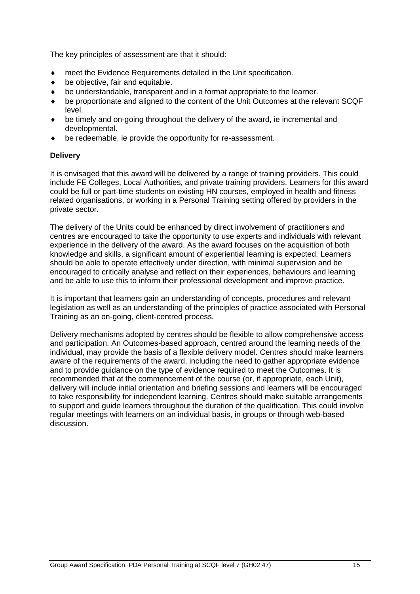The key principles of assessment are that it should:

- meet the Evidence Requirements detailed in the Unit specification.
- ◆ be objective, fair and equitable.
- be understandable, transparent and in a format appropriate to the learner.
- be proportionate and aligned to the content of the Unit Outcomes at the relevant SCQF level.
- be timely and on-going throughout the delivery of the award, ie incremental and developmental.
- be redeemable, ie provide the opportunity for re-assessment.

#### **Delivery**

It is envisaged that this award will be delivered by a range of training providers. This could include FE Colleges, Local Authorities, and private training providers. Learners for this award could be full or part-time students on existing HN courses, employed in health and fitness related organisations, or working in a Personal Training setting offered by providers in the private sector.

The delivery of the Units could be enhanced by direct involvement of practitioners and centres are encouraged to take the opportunity to use experts and individuals with relevant experience in the delivery of the award. As the award focuses on the acquisition of both knowledge and skills, a significant amount of experiential learning is expected. Learners should be able to operate effectively under direction, with minimal supervision and be encouraged to critically analyse and reflect on their experiences, behaviours and learning and be able to use this to inform their professional development and improve practice.

It is important that learners gain an understanding of concepts, procedures and relevant legislation as well as an understanding of the principles of practice associated with Personal Training as an on-going, client-centred process.

Delivery mechanisms adopted by centres should be flexible to allow comprehensive access and participation. An Outcomes-based approach, centred around the learning needs of the individual, may provide the basis of a flexible delivery model. Centres should make learners aware of the requirements of the award, including the need to gather appropriate evidence and to provide guidance on the type of evidence required to meet the Outcomes. It is recommended that at the commencement of the course (or, if appropriate, each Unit), delivery will include initial orientation and briefing sessions and learners will be encouraged to take responsibility for independent learning. Centres should make suitable arrangements to support and quide learners throughout the duration of the qualification. This could involve regular meetings with learners on an individual basis, in groups or through web-based discussion.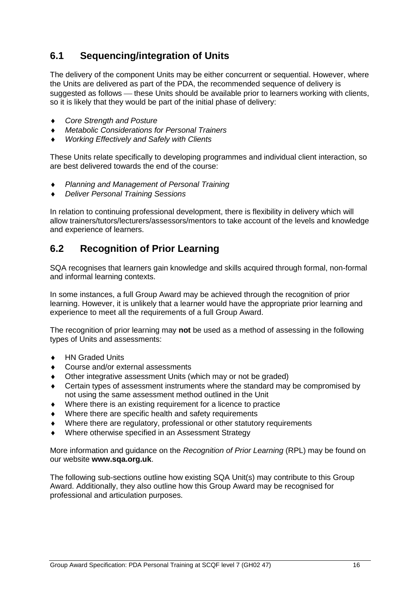### <span id="page-17-0"></span>**6.1 Sequencing/integration of Units**

The delivery of the component Units may be either concurrent or sequential. However, where the Units are delivered as part of the PDA, the recommended sequence of delivery is suggested as follows — these Units should be available prior to learners working with clients, so it is likely that they would be part of the initial phase of delivery:

- *Core Strength and Posture*
- *Metabolic Considerations for Personal Trainers*
- *Working Effectively and Safely with Clients*

These Units relate specifically to developing programmes and individual client interaction, so are best delivered towards the end of the course:

- *Planning and Management of Personal Training*
- *Deliver Personal Training Sessions*

In relation to continuing professional development, there is flexibility in delivery which will allow trainers/tutors/lecturers/assessors/mentors to take account of the levels and knowledge and experience of learners.

### <span id="page-17-1"></span>**6.2 Recognition of Prior Learning**

SQA recognises that learners gain knowledge and skills acquired through formal, non-formal and informal learning contexts.

In some instances, a full Group Award may be achieved through the recognition of prior learning. However, it is unlikely that a learner would have the appropriate prior learning and experience to meet all the requirements of a full Group Award.

The recognition of prior learning may **not** be used as a method of assessing in the following types of Units and assessments:

- HN Graded Units
- Course and/or external assessments
- Other integrative assessment Units (which may or not be graded)
- Certain types of assessment instruments where the standard may be compromised by not using the same assessment method outlined in the Unit
- Where there is an existing requirement for a licence to practice
- Where there are specific health and safety requirements
- Where there are regulatory, professional or other statutory requirements
- Where otherwise specified in an Assessment Strategy

More information and guidance on the *Recognition of Prior Learning* (RPL) may be found on our website **[www.sqa.org.uk](http://www.sqa.org.uk/)**.

The following sub-sections outline how existing SQA Unit(s) may contribute to this Group Award. Additionally, they also outline how this Group Award may be recognised for professional and articulation purposes.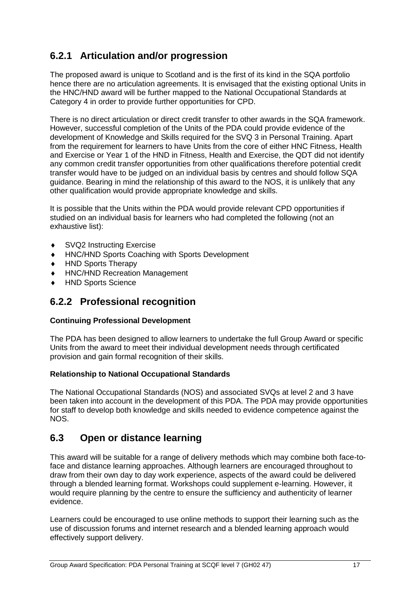### **6.2.1 Articulation and/or progression**

The proposed award is unique to Scotland and is the first of its kind in the SQA portfolio hence there are no articulation agreements. It is envisaged that the existing optional Units in the HNC/HND award will be further mapped to the National Occupational Standards at Category 4 in order to provide further opportunities for CPD.

There is no direct articulation or direct credit transfer to other awards in the SQA framework. However, successful completion of the Units of the PDA could provide evidence of the development of Knowledge and Skills required for the SVQ 3 in Personal Training. Apart from the requirement for learners to have Units from the core of either HNC Fitness, Health and Exercise or Year 1 of the HND in Fitness, Health and Exercise, the QDT did not identify any common credit transfer opportunities from other qualifications therefore potential credit transfer would have to be judged on an individual basis by centres and should follow SQA guidance. Bearing in mind the relationship of this award to the NOS, it is unlikely that any other qualification would provide appropriate knowledge and skills.

It is possible that the Units within the PDA would provide relevant CPD opportunities if studied on an individual basis for learners who had completed the following (not an exhaustive list):

- ◆ SVQ2 Instructing Exercise
- HNC/HND Sports Coaching with Sports Development
- ◆ HND Sports Therapy
- HNC/HND Recreation Management
- HND Sports Science

### **6.2.2 Professional recognition**

#### **Continuing Professional Development**

The PDA has been designed to allow learners to undertake the full Group Award or specific Units from the award to meet their individual development needs through certificated provision and gain formal recognition of their skills.

#### **Relationship to National Occupational Standards**

The National Occupational Standards (NOS) and associated SVQs at level 2 and 3 have been taken into account in the development of this PDA. The PDA may provide opportunities for staff to develop both knowledge and skills needed to evidence competence against the NOS.

### <span id="page-18-0"></span>**6.3 Open or distance learning**

This award will be suitable for a range of delivery methods which may combine both face-toface and distance learning approaches. Although learners are encouraged throughout to draw from their own day to day work experience, aspects of the award could be delivered through a blended learning format. Workshops could supplement e-learning. However, it would require planning by the centre to ensure the sufficiency and authenticity of learner evidence.

Learners could be encouraged to use online methods to support their learning such as the use of discussion forums and internet research and a blended learning approach would effectively support delivery.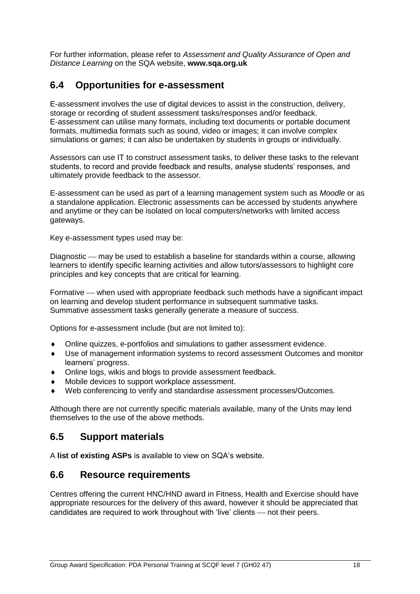For further information, please refer to *Assessment and Quality Assurance of Open and Distance Learning* on the SQA website, **www.sqa.org.uk**

### <span id="page-19-0"></span>**6.4 Opportunities for e-assessment**

E-assessment involves the use of digital devices to assist in the construction, delivery, storage or recording of student assessment tasks/responses and/or feedback. E-assessment can utilise many formats, including text documents or portable document formats, multimedia formats such as sound, video or images; it can involve complex simulations or games; it can also be undertaken by students in groups or individually.

Assessors can use IT to construct assessment tasks, to deliver these tasks to the relevant students, to record and provide feedback and results, analyse students' responses, and ultimately provide feedback to the assessor.

E-assessment can be used as part of a learning management system such as *Moodle* or as a standalone application. Electronic assessments can be accessed by students anywhere and anytime or they can be isolated on local computers/networks with limited access gateways.

Key e-assessment types used may be:

Diagnostic — may be used to establish a baseline for standards within a course, allowing learners to identify specific learning activities and allow tutors/assessors to highlight core principles and key concepts that are critical for learning.

Formative — when used with appropriate feedback such methods have a significant impact on learning and develop student performance in subsequent summative tasks. Summative assessment tasks generally generate a measure of success.

Options for e-assessment include (but are not limited to):

- Online quizzes, e-portfolios and simulations to gather assessment evidence.
- Use of management information systems to record assessment Outcomes and monitor learners' progress.
- Online logs, wikis and blogs to provide assessment feedback.
- Mobile devices to support workplace assessment.
- Web conferencing to verify and standardise assessment processes/Outcomes.

Although there are not currently specific materials available, many of the Units may lend themselves to the use of the above methods.

### <span id="page-19-1"></span>**6.5 Support materials**

A **[list of existing ASPs](http://www.sqa.org.uk/sqa/46233.2769.html)** is available to view on SQA's website.

### <span id="page-19-2"></span>**6.6 Resource requirements**

Centres offering the current HNC/HND award in Fitness, Health and Exercise should have appropriate resources for the delivery of this award, however it should be appreciated that candidates are required to work throughout with 'live' clients — not their peers.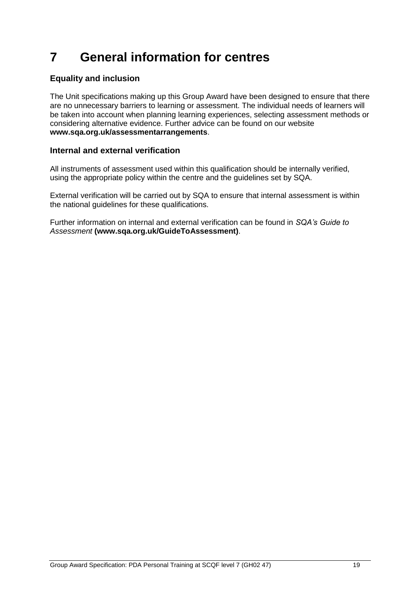## <span id="page-20-0"></span>**7 General information for centres**

### **Equality and inclusion**

The Unit specifications making up this Group Award have been designed to ensure that there are no unnecessary barriers to learning or assessment. The individual needs of learners will be taken into account when planning learning experiences, selecting assessment methods or considering alternative evidence. Further advice can be found on our website **[www.sqa.org.uk/assessmentarrangements](http://www.sqa.org.uk/sqa/14977.html)**.

#### **Internal and external verification**

All instruments of assessment used within this qualification should be internally verified, using the appropriate policy within the centre and the guidelines set by SQA.

External verification will be carried out by SQA to ensure that internal assessment is within the national guidelines for these qualifications.

Further information on internal and external verification can be found in *SQA's Guide to Assessment* **[\(www.sqa.org.uk/GuideToAssessment\)](http://www.sqa.org.uk/sqa/files_ccc/GuideToAssessment.pdf)**.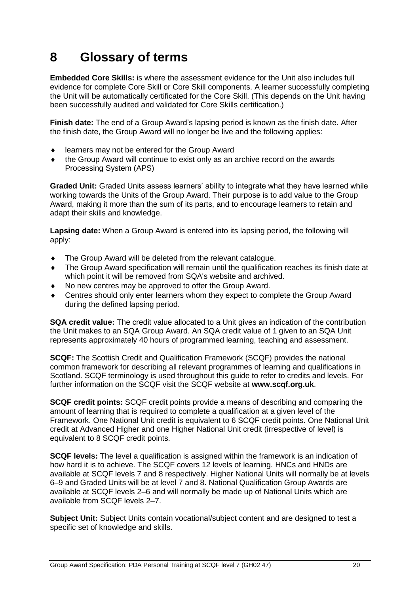## <span id="page-21-0"></span>**8 Glossary of terms**

**Embedded Core Skills:** is where the assessment evidence for the Unit also includes full evidence for complete Core Skill or Core Skill components. A learner successfully completing the Unit will be automatically certificated for the Core Skill. (This depends on the Unit having been successfully audited and validated for Core Skills certification.)

**Finish date:** The end of a Group Award's lapsing period is known as the finish date. After the finish date, the Group Award will no longer be live and the following applies:

- learners may not be entered for the Group Award
- the Group Award will continue to exist only as an archive record on the awards Processing System (APS)

**Graded Unit:** Graded Units assess learners' ability to integrate what they have learned while working towards the Units of the Group Award. Their purpose is to add value to the Group Award, making it more than the sum of its parts, and to encourage learners to retain and adapt their skills and knowledge.

**Lapsing date:** When a Group Award is entered into its lapsing period, the following will apply:

- $\bullet$  The Group Award will be deleted from the relevant catalogue.
- The Group Award specification will remain until the qualification reaches its finish date at which point it will be removed from SQA's website and archived.
- No new centres may be approved to offer the Group Award.
- Centres should only enter learners whom they expect to complete the Group Award during the defined lapsing period.

**SQA credit value:** The credit value allocated to a Unit gives an indication of the contribution the Unit makes to an SQA Group Award. An SQA credit value of 1 given to an SQA Unit represents approximately 40 hours of programmed learning, teaching and assessment.

**SCQF:** The Scottish Credit and Qualification Framework (SCQF) provides the national common framework for describing all relevant programmes of learning and qualifications in Scotland. SCQF terminology is used throughout this guide to refer to credits and levels. For further information on the SCQF visit the SCQF website at **[www.scqf.org.uk](http://www.scqf.org.uk/)**.

**SCQF credit points:** SCQF credit points provide a means of describing and comparing the amount of learning that is required to complete a qualification at a given level of the Framework. One National Unit credit is equivalent to 6 SCQF credit points. One National Unit credit at Advanced Higher and one Higher National Unit credit (irrespective of level) is equivalent to 8 SCQF credit points.

**SCQF levels:** The level a qualification is assigned within the framework is an indication of how hard it is to achieve. The SCQF covers 12 levels of learning. HNCs and HNDs are available at SCQF levels 7 and 8 respectively. Higher National Units will normally be at levels 6–9 and Graded Units will be at level 7 and 8. National Qualification Group Awards are available at SCQF levels 2–6 and will normally be made up of National Units which are available from SCQF levels 2–7.

**Subject Unit:** Subject Units contain vocational/subject content and are designed to test a specific set of knowledge and skills.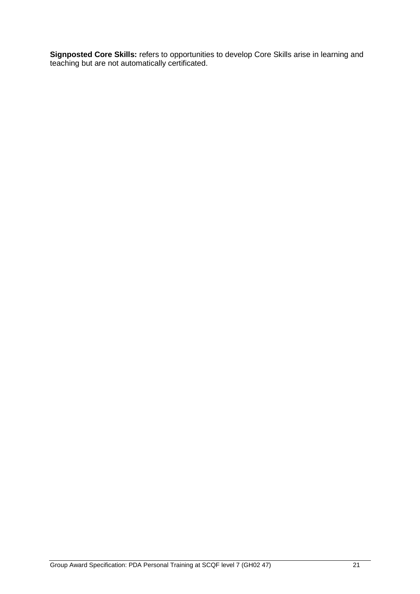**Signposted Core Skills:** refers to opportunities to develop Core Skills arise in learning and teaching but are not automatically certificated.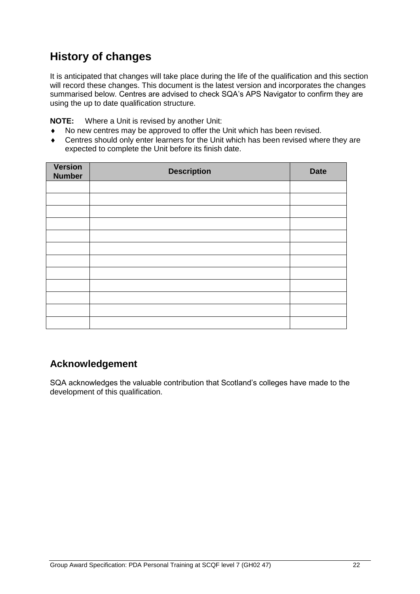## **History of changes**

It is anticipated that changes will take place during the life of the qualification and this section will record these changes. This document is the latest version and incorporates the changes summarised below. Centres are advised to check SQA's APS Navigator to confirm they are using the up to date qualification structure.

**NOTE:** Where a Unit is revised by another Unit:

- No new centres may be approved to offer the Unit which has been revised.
- Centres should only enter learners for the Unit which has been revised where they are expected to complete the Unit before its finish date.

| <b>Version</b><br><b>Number</b> | <b>Description</b> | <b>Date</b> |
|---------------------------------|--------------------|-------------|
|                                 |                    |             |
|                                 |                    |             |
|                                 |                    |             |
|                                 |                    |             |
|                                 |                    |             |
|                                 |                    |             |
|                                 |                    |             |
|                                 |                    |             |
|                                 |                    |             |
|                                 |                    |             |
|                                 |                    |             |
|                                 |                    |             |

### **Acknowledgement**

SQA acknowledges the valuable contribution that Scotland's colleges have made to the development of this qualification.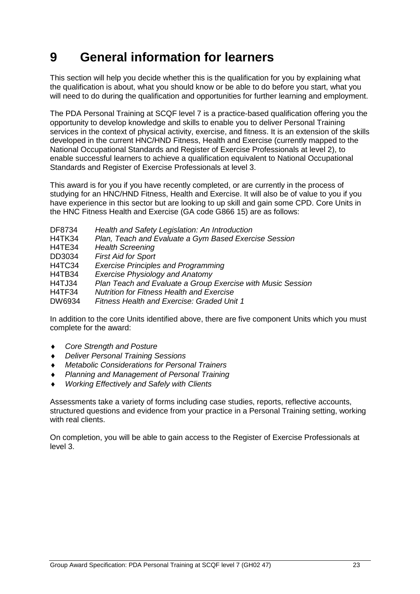## <span id="page-24-0"></span>**9 General information for learners**

This section will help you decide whether this is the qualification for you by explaining what the qualification is about, what you should know or be able to do before you start, what you will need to do during the qualification and opportunities for further learning and employment.

The PDA Personal Training at SCQF level 7 is a practice-based qualification offering you the opportunity to develop knowledge and skills to enable you to deliver Personal Training services in the context of physical activity, exercise, and fitness. It is an extension of the skills developed in the current HNC/HND Fitness, Health and Exercise (currently mapped to the National Occupational Standards and Register of Exercise Professionals at level 2), to enable successful learners to achieve a qualification equivalent to National Occupational Standards and Register of Exercise Professionals at level 3.

This award is for you if you have recently completed, or are currently in the process of studying for an HNC/HND Fitness, Health and Exercise. It will also be of value to you if you have experience in this sector but are looking to up skill and gain some CPD. Core Units in the HNC Fitness Health and Exercise (GA code G866 15) are as follows:

| DF8734        | Health and Safety Legislation: An Introduction              |
|---------------|-------------------------------------------------------------|
| <b>H4TK34</b> | Plan, Teach and Evaluate a Gym Based Exercise Session       |
| H4TE34        | <b>Health Screening</b>                                     |
| DD3034        | <b>First Aid for Sport</b>                                  |
| H4TC34        | <b>Exercise Principles and Programming</b>                  |
| H4TB34        | <b>Exercise Physiology and Anatomy</b>                      |
| <b>H4TJ34</b> | Plan Teach and Evaluate a Group Exercise with Music Session |
| H4TF34        | <b>Nutrition for Fitness Health and Exercise</b>            |
| DW6934        | <b>Fitness Health and Exercise: Graded Unit 1</b>           |
|               |                                                             |

In addition to the core Units identified above, there are five component Units which you must complete for the award:

- *Core Strength and Posture*
- *Deliver Personal Training Sessions*
- *Metabolic Considerations for Personal Trainers*
- *Planning and Management of Personal Training*
- *Working Effectively and Safely with Clients*

Assessments take a variety of forms including case studies, reports, reflective accounts, structured questions and evidence from your practice in a Personal Training setting, working with real clients.

On completion, you will be able to gain access to the Register of Exercise Professionals at level 3.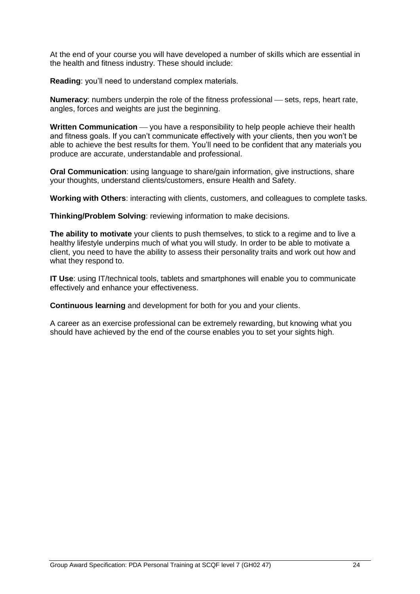At the end of your course you will have developed a number of skills which are essential in the health and fitness industry. These should include:

**Reading**: you'll need to understand complex materials.

**Numeracy:** numbers underpin the role of the fitness professional — sets, reps, heart rate, angles, forces and weights are just the beginning.

**Written Communication** — you have a responsibility to help people achieve their health and fitness goals. If you can't communicate effectively with your clients, then you won't be able to achieve the best results for them. You'll need to be confident that any materials you produce are accurate, understandable and professional.

**Oral Communication**: using language to share/gain information, give instructions, share your thoughts, understand clients/customers, ensure Health and Safety.

**Working with Others**: interacting with clients, customers, and colleagues to complete tasks.

**Thinking/Problem Solving**: reviewing information to make decisions.

The ability to motivate your clients to push themselves, to stick to a regime and to live a healthy lifestyle underpins much of what you will study. In order to be able to motivate a client, you need to have the ability to assess their personality traits and work out how and what they respond to.

**IT Use**: using IT/technical tools, tablets and smartphones will enable you to communicate effectively and enhance your effectiveness.

**Continuous learning** and development for both for you and your clients.

A career as an exercise professional can be extremely rewarding, but knowing what you should have achieved by the end of the course enables you to set your sights high.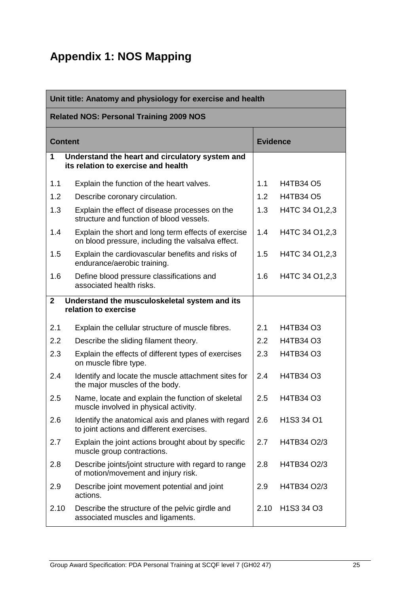## <span id="page-26-0"></span>**Appendix 1: NOS Mapping**

| Unit title: Anatomy and physiology for exercise and health |                                                                                                          |                 |                                                 |  |
|------------------------------------------------------------|----------------------------------------------------------------------------------------------------------|-----------------|-------------------------------------------------|--|
|                                                            | <b>Related NOS: Personal Training 2009 NOS</b>                                                           |                 |                                                 |  |
| <b>Content</b>                                             |                                                                                                          | <b>Evidence</b> |                                                 |  |
| 1                                                          | Understand the heart and circulatory system and<br>its relation to exercise and health                   |                 |                                                 |  |
| 1.1                                                        | Explain the function of the heart valves.                                                                | 1.1             | <b>H4TB34 O5</b>                                |  |
| 1.2                                                        | Describe coronary circulation.                                                                           | 1.2             | <b>H4TB34 O5</b>                                |  |
| 1.3                                                        | Explain the effect of disease processes on the<br>structure and function of blood vessels.               | 1.3             | H4TC 34 O1, 2, 3                                |  |
| 1.4                                                        | Explain the short and long term effects of exercise<br>on blood pressure, including the valsalva effect. | 1.4             | H4TC 34 O1, 2, 3                                |  |
| 1.5                                                        | Explain the cardiovascular benefits and risks of<br>endurance/aerobic training.                          | 1.5             | H4TC 34 O1, 2, 3                                |  |
| 1.6                                                        | Define blood pressure classifications and<br>associated health risks.                                    | 1.6             | H4TC 34 O1, 2, 3                                |  |
| $\mathbf{2}$                                               | Understand the musculoskeletal system and its<br>relation to exercise                                    |                 |                                                 |  |
| 2.1                                                        | Explain the cellular structure of muscle fibres.                                                         | 2.1             | H4TB34 O3                                       |  |
| 2.2                                                        | Describe the sliding filament theory.                                                                    | 2.2             | H4TB34 O3                                       |  |
| 2.3                                                        | Explain the effects of different types of exercises<br>on muscle fibre type.                             | 2.3             | H4TB34 O3                                       |  |
| 2.4                                                        | Identify and locate the muscle attachment sites for<br>the major muscles of the body.                    | 2.4             | H4TB34 O3                                       |  |
| 2.5                                                        | Name, locate and explain the function of skeletal<br>muscle involved in physical activity.               | 2.5             | H4TB34 O3                                       |  |
| 2.6                                                        | Identify the anatomical axis and planes with regard<br>to joint actions and different exercises.         | 2.6             | H1S3 34 O1                                      |  |
| 2.7                                                        | Explain the joint actions brought about by specific<br>muscle group contractions.                        | 2.7             | H4TB34 O2/3                                     |  |
| 2.8                                                        | Describe joints/joint structure with regard to range<br>of motion/movement and injury risk.              | 2.8             | H4TB34 O2/3                                     |  |
| 2.9                                                        | Describe joint movement potential and joint<br>actions.                                                  | 2.9             | H4TB34 O2/3                                     |  |
| 2.10                                                       | Describe the structure of the pelvic girdle and<br>associated muscles and ligaments.                     | 2.10            | H <sub>1</sub> S <sub>3</sub> 34 O <sub>3</sub> |  |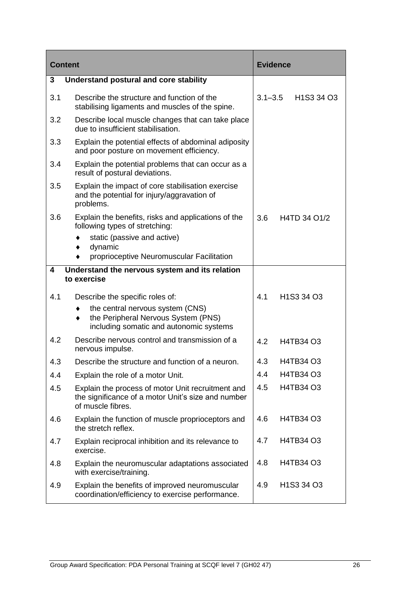| <b>Content</b> |                                                                                                                              | <b>Evidence</b> |                                                 |
|----------------|------------------------------------------------------------------------------------------------------------------------------|-----------------|-------------------------------------------------|
| 3              | Understand postural and core stability                                                                                       |                 |                                                 |
| 3.1            | Describe the structure and function of the<br>stabilising ligaments and muscles of the spine.                                | $3.1 - 3.5$     | H <sub>1</sub> S <sub>3</sub> 34 O <sub>3</sub> |
| 3.2            | Describe local muscle changes that can take place<br>due to insufficient stabilisation.                                      |                 |                                                 |
| 3.3            | Explain the potential effects of abdominal adiposity<br>and poor posture on movement efficiency.                             |                 |                                                 |
| 3.4            | Explain the potential problems that can occur as a<br>result of postural deviations.                                         |                 |                                                 |
| 3.5            | Explain the impact of core stabilisation exercise<br>and the potential for injury/aggravation of<br>problems.                |                 |                                                 |
| 3.6            | Explain the benefits, risks and applications of the<br>following types of stretching:                                        | 3.6             | H4TD 34 O1/2                                    |
|                | static (passive and active)                                                                                                  |                 |                                                 |
|                | dynamic<br>proprioceptive Neuromuscular Facilitation                                                                         |                 |                                                 |
| 4              | Understand the nervous system and its relation                                                                               |                 |                                                 |
|                | to exercise                                                                                                                  |                 |                                                 |
| 4.1            | Describe the specific roles of:                                                                                              | 4.1             | H <sub>1</sub> S <sub>3</sub> 34 O <sub>3</sub> |
|                | the central nervous system (CNS)<br>the Peripheral Nervous System (PNS)<br>including somatic and autonomic systems           |                 |                                                 |
| 4.2            | Describe nervous control and transmission of a<br>nervous impulse.                                                           | 4.2             | H4TB34 O3                                       |
| 4.3            | Describe the structure and function of a neuron.                                                                             | 4.3             | H4TB34 O3                                       |
| 4.4            | Explain the role of a motor Unit.                                                                                            | 4.4             | H4TB34 O3                                       |
| 4.5            | Explain the process of motor Unit recruitment and<br>the significance of a motor Unit's size and number<br>of muscle fibres. | 4.5             | H4TB34 O3                                       |
| 4.6            | Explain the function of muscle proprioceptors and<br>the stretch reflex.                                                     | 4.6             | H4TB34 O3                                       |
| 4.7            | Explain reciprocal inhibition and its relevance to<br>exercise.                                                              | 4.7             | H4TB34 O3                                       |
| 4.8            | Explain the neuromuscular adaptations associated<br>with exercise/training.                                                  | 4.8             | H4TB34 O3                                       |
| 4.9            | Explain the benefits of improved neuromuscular<br>coordination/efficiency to exercise performance.                           | 4.9             | H <sub>1</sub> S <sub>3</sub> 34 O <sub>3</sub> |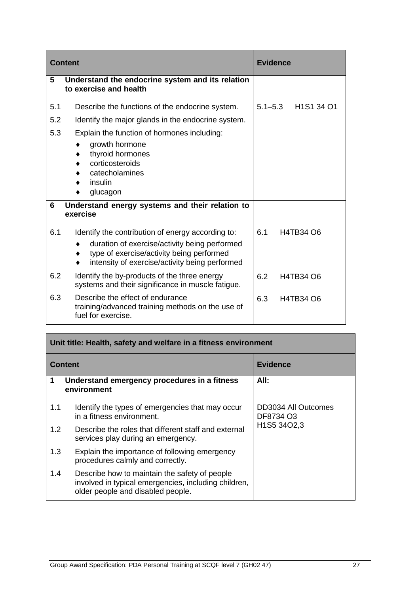|     | <b>Content</b>                                                                                                                               | <b>Evidence</b>                                                |
|-----|----------------------------------------------------------------------------------------------------------------------------------------------|----------------------------------------------------------------|
| 5   | Understand the endocrine system and its relation<br>to exercise and health                                                                   |                                                                |
| 5.1 | Describe the functions of the endocrine system.                                                                                              | H <sub>1</sub> S <sub>1</sub> 34 O <sub>1</sub><br>$5.1 - 5.3$ |
| 5.2 | Identify the major glands in the endocrine system.                                                                                           |                                                                |
| 5.3 | Explain the function of hormones including:                                                                                                  |                                                                |
|     | growth hormone                                                                                                                               |                                                                |
|     | thyroid hormones<br>corticosteroids                                                                                                          |                                                                |
|     | catecholamines                                                                                                                               |                                                                |
|     | insulin                                                                                                                                      |                                                                |
|     | glucagon                                                                                                                                     |                                                                |
| 6   | Understand energy systems and their relation to<br>exercise                                                                                  |                                                                |
| 6.1 | Identify the contribution of energy according to:                                                                                            | 6.1<br>H4TB34 O6                                               |
|     | duration of exercise/activity being performed<br>type of exercise/activity being performed<br>intensity of exercise/activity being performed |                                                                |
| 6.2 | Identify the by-products of the three energy<br>systems and their significance in muscle fatigue.                                            | 6.2<br>H4TB34 O6                                               |
| 6.3 | Describe the effect of endurance<br>training/advanced training methods on the use of<br>fuel for exercise.                                   | 6.3<br>H4TB34 O6                                               |

| Unit title: Health, safety and welfare in a fitness environment |                                                                                                                                            |                                  |  |
|-----------------------------------------------------------------|--------------------------------------------------------------------------------------------------------------------------------------------|----------------------------------|--|
| <b>Evidence</b><br><b>Content</b>                               |                                                                                                                                            |                                  |  |
| 1                                                               | Understand emergency procedures in a fitness<br>environment                                                                                | All:                             |  |
| 1.1                                                             | Identify the types of emergencies that may occur<br>in a fitness environment.                                                              | DD3034 All Outcomes<br>DF8734 O3 |  |
| 1.2 <sub>1</sub>                                                | Describe the roles that different staff and external<br>services play during an emergency.                                                 | H1S5 34O2,3                      |  |
| 1.3                                                             | Explain the importance of following emergency<br>procedures calmly and correctly.                                                          |                                  |  |
| 1.4                                                             | Describe how to maintain the safety of people<br>involved in typical emergencies, including children,<br>older people and disabled people. |                                  |  |

h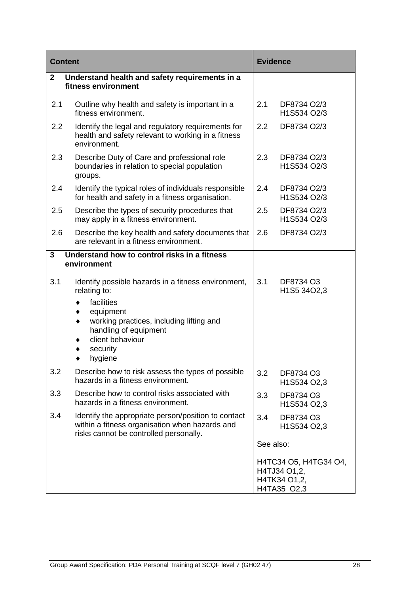| <b>Content</b>   |                                                                                                                                                                                     | <b>Evidence</b>  |                                                                      |
|------------------|-------------------------------------------------------------------------------------------------------------------------------------------------------------------------------------|------------------|----------------------------------------------------------------------|
| $\mathbf{2}$     | Understand health and safety requirements in a<br>fitness environment                                                                                                               |                  |                                                                      |
| 2.1              | Outline why health and safety is important in a<br>fitness environment.                                                                                                             | 2.1              | DF8734 O2/3<br>H1S534 O2/3                                           |
| $2.2\phantom{0}$ | Identify the legal and regulatory requirements for<br>health and safety relevant to working in a fitness<br>environment.                                                            | $2.2\phantom{0}$ | DF8734 O2/3                                                          |
| 2.3              | Describe Duty of Care and professional role<br>boundaries in relation to special population<br>groups.                                                                              | 2.3              | DF8734 O2/3<br>H1S534 O2/3                                           |
| 2.4              | Identify the typical roles of individuals responsible<br>for health and safety in a fitness organisation.                                                                           | 2.4              | DF8734 O2/3<br>H1S534 O2/3                                           |
| 2.5              | Describe the types of security procedures that<br>may apply in a fitness environment.                                                                                               | 2.5              | DF8734 O2/3<br>H1S534 O2/3                                           |
| 2.6              | Describe the key health and safety documents that<br>are relevant in a fitness environment.                                                                                         | 2.6              | DF8734 O2/3                                                          |
| 3                | Understand how to control risks in a fitness<br>environment                                                                                                                         |                  |                                                                      |
| 3.1              | Identify possible hazards in a fitness environment,<br>relating to:                                                                                                                 | 3.1              | DF8734 O3<br>H1S5 34O2,3                                             |
|                  | facilities<br>٠<br>equipment<br>$\blacklozenge$<br>working practices, including lifting and<br>٠<br>handling of equipment<br>client behaviour<br>٠<br>security<br>٠<br>hygiene<br>٠ |                  |                                                                      |
| 3.2              | Describe how to risk assess the types of possible<br>hazards in a fitness environment.                                                                                              | 3.2              | DF8734 O3<br>H1S534 O2,3                                             |
| 3.3              | Describe how to control risks associated with<br>hazards in a fitness environment.                                                                                                  | 3.3              | DF8734 O3<br>H1S534 O2,3                                             |
| 3.4              | Identify the appropriate person/position to contact<br>within a fitness organisation when hazards and<br>risks cannot be controlled personally.                                     | 3.4              | DF8734 O3<br>H1S534 O2,3                                             |
|                  |                                                                                                                                                                                     | See also:        |                                                                      |
|                  |                                                                                                                                                                                     |                  | H4TC34 O5, H4TG34 O4,<br>H4TJ34 O1,2,<br>H4TK34 O1,2,<br>H4TA35 O2,3 |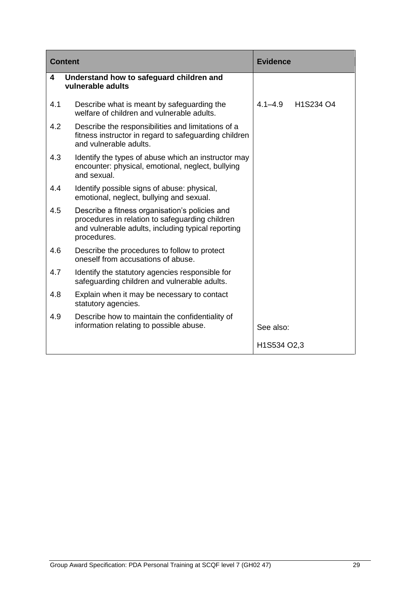|     | <b>Content</b>                                                                                                                                                         | <b>Evidence</b>          |
|-----|------------------------------------------------------------------------------------------------------------------------------------------------------------------------|--------------------------|
| 4   | Understand how to safeguard children and<br>vulnerable adults                                                                                                          |                          |
| 4.1 | Describe what is meant by safeguarding the<br>welfare of children and vulnerable adults.                                                                               | $4.1 - 4.9$<br>H1S234 O4 |
| 4.2 | Describe the responsibilities and limitations of a<br>fitness instructor in regard to safeguarding children<br>and vulnerable adults.                                  |                          |
| 4.3 | Identify the types of abuse which an instructor may<br>encounter: physical, emotional, neglect, bullying<br>and sexual.                                                |                          |
| 4.4 | Identify possible signs of abuse: physical,<br>emotional, neglect, bullying and sexual.                                                                                |                          |
| 4.5 | Describe a fitness organisation's policies and<br>procedures in relation to safeguarding children<br>and vulnerable adults, including typical reporting<br>procedures. |                          |
| 4.6 | Describe the procedures to follow to protect<br>oneself from accusations of abuse.                                                                                     |                          |
| 4.7 | Identify the statutory agencies responsible for<br>safeguarding children and vulnerable adults.                                                                        |                          |
| 4.8 | Explain when it may be necessary to contact<br>statutory agencies.                                                                                                     |                          |
| 4.9 | Describe how to maintain the confidentiality of<br>information relating to possible abuse.                                                                             | See also:                |
|     |                                                                                                                                                                        | H1S534 O2,3              |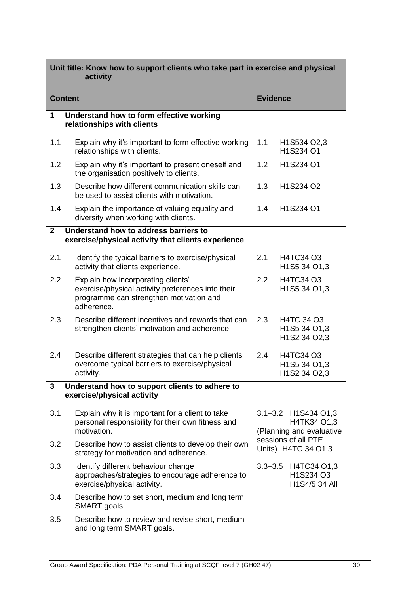| Unit title: Know how to support clients who take part in exercise and physical<br>activity |                                                                                                                                                  |                                                                                                              |                                                   |  |  |
|--------------------------------------------------------------------------------------------|--------------------------------------------------------------------------------------------------------------------------------------------------|--------------------------------------------------------------------------------------------------------------|---------------------------------------------------|--|--|
|                                                                                            | <b>Evidence</b><br><b>Content</b>                                                                                                                |                                                                                                              |                                                   |  |  |
| 1                                                                                          | Understand how to form effective working<br>relationships with clients                                                                           |                                                                                                              |                                                   |  |  |
| 1.1                                                                                        | Explain why it's important to form effective working<br>relationships with clients.                                                              | 1.1                                                                                                          | H1S534 O2,3<br>H1S234 O1                          |  |  |
| 1.2                                                                                        | Explain why it's important to present oneself and<br>the organisation positively to clients.                                                     | 1.2                                                                                                          | H1S234 O1                                         |  |  |
| 1.3                                                                                        | Describe how different communication skills can<br>be used to assist clients with motivation.                                                    | 1.3                                                                                                          | H <sub>1</sub> S <sub>234</sub> O <sub>2</sub>    |  |  |
| 1.4                                                                                        | Explain the importance of valuing equality and<br>diversity when working with clients.                                                           | 1.4                                                                                                          | H1S234 O1                                         |  |  |
| $\overline{2}$                                                                             | Understand how to address barriers to<br>exercise/physical activity that clients experience                                                      |                                                                                                              |                                                   |  |  |
| 2.1                                                                                        | Identify the typical barriers to exercise/physical<br>activity that clients experience.                                                          | 2.1                                                                                                          | H4TC34 O3<br>H1S5 34 O1,3                         |  |  |
| 2.2                                                                                        | Explain how incorporating clients'<br>exercise/physical activity preferences into their<br>programme can strengthen motivation and<br>adherence. | 2.2                                                                                                          | H4TC34 O3<br>H1S5 34 O1,3                         |  |  |
| 2.3                                                                                        | Describe different incentives and rewards that can<br>strengthen clients' motivation and adherence.                                              | 2.3                                                                                                          | H4TC 34 O3<br>H1S5 34 O1,3<br>H1S2 34 O2,3        |  |  |
| 2.4                                                                                        | Describe different strategies that can help clients<br>overcome typical barriers to exercise/physical<br>activity.                               | 2.4                                                                                                          | H4TC34 O3<br>H1S5 34 O1,3<br>H1S2 34 O2,3         |  |  |
| 3                                                                                          | Understand how to support clients to adhere to<br>exercise/physical activity                                                                     |                                                                                                              |                                                   |  |  |
| 3.1                                                                                        | Explain why it is important for a client to take<br>personal responsibility for their own fitness and<br>motivation.                             | 3.1-3.2 H1S434 O1,3<br>H4TK34 O1,3<br>(Planning and evaluative<br>sessions of all PTE<br>Units) H4TC 34 O1,3 |                                                   |  |  |
| 3.2                                                                                        | Describe how to assist clients to develop their own<br>strategy for motivation and adherence.                                                    |                                                                                                              |                                                   |  |  |
| 3.3                                                                                        | Identify different behaviour change<br>approaches/strategies to encourage adherence to<br>exercise/physical activity.                            |                                                                                                              | 3.3-3.5 H4TC34 O1,3<br>H1S234 O3<br>H1S4/5 34 All |  |  |
| 3.4                                                                                        | Describe how to set short, medium and long term<br>SMART goals.                                                                                  |                                                                                                              |                                                   |  |  |
| 3.5                                                                                        | Describe how to review and revise short, medium<br>and long term SMART goals.                                                                    |                                                                                                              |                                                   |  |  |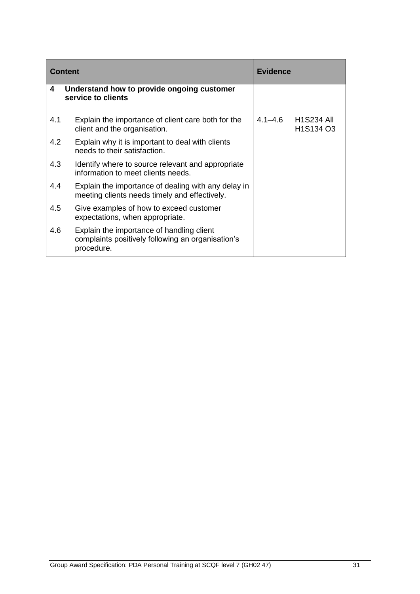|     | <b>Content</b>                                                                                               | <b>Evidence</b> |                         |
|-----|--------------------------------------------------------------------------------------------------------------|-----------------|-------------------------|
| 4   | Understand how to provide ongoing customer<br>service to clients                                             |                 |                         |
| 4.1 | Explain the importance of client care both for the<br>client and the organisation.                           | 4.1–4.6         | H1S234 All<br>H1S134 O3 |
| 4.2 | Explain why it is important to deal with clients<br>needs to their satisfaction.                             |                 |                         |
| 4.3 | Identify where to source relevant and appropriate<br>information to meet clients needs.                      |                 |                         |
| 4.4 | Explain the importance of dealing with any delay in<br>meeting clients needs timely and effectively.         |                 |                         |
| 4.5 | Give examples of how to exceed customer<br>expectations, when appropriate.                                   |                 |                         |
| 4.6 | Explain the importance of handling client<br>complaints positively following an organisation's<br>procedure. |                 |                         |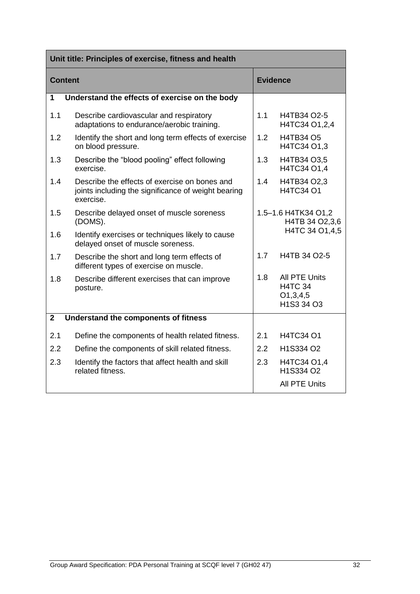|                | Unit title: Principles of exercise, fitness and health                                                            |                                       |                                                              |  |
|----------------|-------------------------------------------------------------------------------------------------------------------|---------------------------------------|--------------------------------------------------------------|--|
| <b>Content</b> |                                                                                                                   |                                       | <b>Evidence</b>                                              |  |
| 1              | Understand the effects of exercise on the body                                                                    |                                       |                                                              |  |
| 1.1            | Describe cardiovascular and respiratory<br>adaptations to endurance/aerobic training.                             | 1.1                                   | H4TB34 O2-5<br>H4TC34 O1,2,4                                 |  |
| 1.2            | Identify the short and long term effects of exercise<br>on blood pressure.                                        | 1.2                                   | <b>H4TB34 O5</b><br>H4TC34 O1,3                              |  |
| 1.3            | Describe the "blood pooling" effect following<br>exercise.                                                        | 1.3                                   | H4TB34 O3,5<br>H4TC34 O1.4                                   |  |
| 1.4            | Describe the effects of exercise on bones and<br>joints including the significance of weight bearing<br>exercise. | 1.4                                   | H4TB34 O2,3<br>H4TC34 O1                                     |  |
| 1.5            | Describe delayed onset of muscle soreness<br>(DOMS).                                                              | 1.5-1.6 H4TK34 O1,2<br>H4TB 34 O2,3,6 |                                                              |  |
| 1.6            | Identify exercises or techniques likely to cause<br>delayed onset of muscle soreness.                             |                                       | H4TC 34 O1,4,5                                               |  |
| 1.7            | Describe the short and long term effects of<br>different types of exercise on muscle.                             | 1.7                                   | H4TB 34 O2-5                                                 |  |
| 1.8            | Describe different exercises that can improve<br>posture.                                                         | 1.8                                   | All PTE Units<br><b>H4TC 34</b><br>O1, 3, 4, 5<br>H1S3 34 O3 |  |
| $\overline{2}$ | Understand the components of fitness                                                                              |                                       |                                                              |  |
| 2.1            | Define the components of health related fitness.                                                                  | 2.1                                   | <b>H4TC34 O1</b>                                             |  |
| 2.2            | Define the components of skill related fitness.                                                                   | 2.2                                   | H1S334 O2                                                    |  |
| 2.3            | Identify the factors that affect health and skill<br>related fitness.                                             | 2.3                                   | H4TC34 O1,4<br>H1S334 O2                                     |  |
|                |                                                                                                                   |                                       | <b>All PTE Units</b>                                         |  |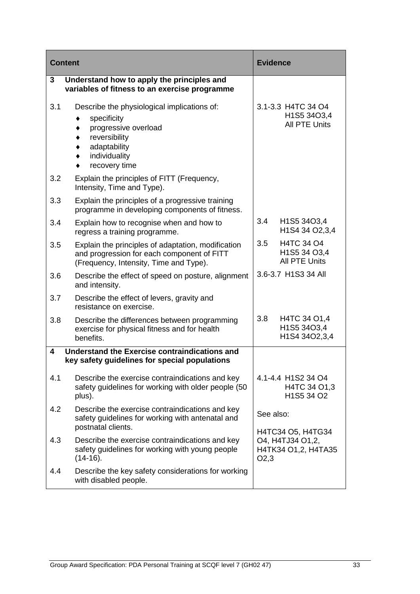| <b>Content</b> |                                                                                                                                                       | <b>Evidence</b>                                                      |
|----------------|-------------------------------------------------------------------------------------------------------------------------------------------------------|----------------------------------------------------------------------|
| 3              | Understand how to apply the principles and<br>variables of fitness to an exercise programme                                                           |                                                                      |
| 3.1            | Describe the physiological implications of:<br>specificity<br>progressive overload<br>reversibility<br>adaptability<br>individuality<br>recovery time | 3.1-3.3 H4TC 34 O4<br>H1S5 34O3,4<br><b>All PTE Units</b>            |
| 3.2            | Explain the principles of FITT (Frequency,<br>Intensity, Time and Type).                                                                              |                                                                      |
| 3.3            | Explain the principles of a progressive training<br>programme in developing components of fitness.                                                    |                                                                      |
| 3.4            | Explain how to recognise when and how to<br>regress a training programme.                                                                             | 3.4<br>H1S5 34O3,4<br>H1S4 34 O2,3,4                                 |
| 3.5            | Explain the principles of adaptation, modification<br>and progression for each component of FITT<br>(Frequency, Intensity, Time and Type).            | 3.5<br>H4TC 34 O4<br>H1S5 34 O3,4<br><b>All PTE Units</b>            |
| 3.6            | Describe the effect of speed on posture, alignment<br>and intensity.                                                                                  | 3.6-3.7 H1S3 34 All                                                  |
| 3.7            | Describe the effect of levers, gravity and<br>resistance on exercise.                                                                                 |                                                                      |
| 3.8            | Describe the differences between programming<br>exercise for physical fitness and for health<br>benefits.                                             | 3.8<br>H4TC 34 O1,4<br>H1S5 34O3,4<br>H1S4 34O2,3,4                  |
| 4              | Understand the Exercise contraindications and<br>key safety guidelines for special populations                                                        |                                                                      |
| 4.1            | Describe the exercise contraindications and key<br>safety guidelines for working with older people (50<br>plus).                                      | 4.1-4.4 H1S2 34 O4<br>H4TC 34 O1,3<br>H1S5 34 O2                     |
| 4.2            | Describe the exercise contraindications and key<br>safety guidelines for working with antenatal and<br>postnatal clients.                             | See also:                                                            |
| 4.3            | Describe the exercise contraindications and key<br>safety guidelines for working with young people<br>$(14-16).$                                      | H4TC34 O5, H4TG34<br>O4, H4TJ34 O1,2,<br>H4TK34 O1,2, H4TA35<br>O2,3 |
| 4.4            | Describe the key safety considerations for working<br>with disabled people.                                                                           |                                                                      |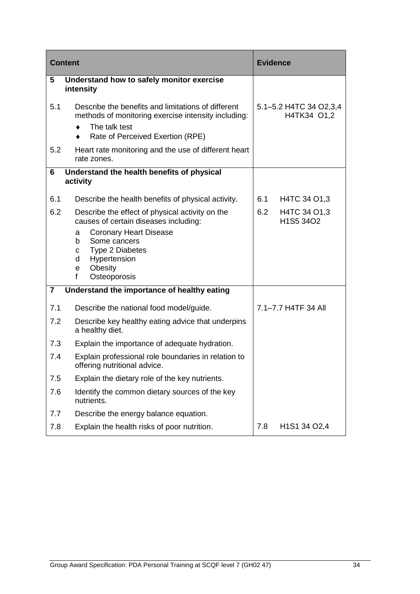|     | <b>Content</b>                                                                                                                                                                                                                                          | <b>Evidence</b>                       |
|-----|---------------------------------------------------------------------------------------------------------------------------------------------------------------------------------------------------------------------------------------------------------|---------------------------------------|
| 5   | Understand how to safely monitor exercise<br>intensity                                                                                                                                                                                                  |                                       |
| 5.1 | Describe the benefits and limitations of different<br>methods of monitoring exercise intensity including:<br>The talk test<br>Rate of Perceived Exertion (RPE)                                                                                          | 5.1-5.2 H4TC 34 O2,3,4<br>H4TK34 O1,2 |
| 5.2 | Heart rate monitoring and the use of different heart<br>rate zones.                                                                                                                                                                                     |                                       |
| 6   | Understand the health benefits of physical<br>activity                                                                                                                                                                                                  |                                       |
| 6.1 | Describe the health benefits of physical activity.                                                                                                                                                                                                      | H4TC 34 O1,3<br>6.1                   |
| 6.2 | Describe the effect of physical activity on the<br>causes of certain diseases including:<br><b>Coronary Heart Disease</b><br>a<br>Some cancers<br>b<br><b>Type 2 Diabetes</b><br>C<br>Hypertension<br>d<br>Obesity<br>e<br>$\mathbf{f}$<br>Osteoporosis | 6.2<br>H4TC 34 O1,3<br>H1S5 34O2      |
| 7   | Understand the importance of healthy eating                                                                                                                                                                                                             |                                       |
| 7.1 | Describe the national food model/guide.                                                                                                                                                                                                                 | 7.1-7.7 H4TF 34 All                   |
| 7.2 | Describe key healthy eating advice that underpins<br>a healthy diet.                                                                                                                                                                                    |                                       |
| 7.3 | Explain the importance of adequate hydration.                                                                                                                                                                                                           |                                       |
| 7.4 | Explain professional role boundaries in relation to<br>offering nutritional advice                                                                                                                                                                      |                                       |
| 7.5 | Explain the dietary role of the key nutrients.                                                                                                                                                                                                          |                                       |
| 7.6 | Identify the common dietary sources of the key<br>nutrients.                                                                                                                                                                                            |                                       |
| 7.7 | Describe the energy balance equation.                                                                                                                                                                                                                   |                                       |
| 7.8 | Explain the health risks of poor nutrition.                                                                                                                                                                                                             | 7.8<br>H1S1 34 O2,4                   |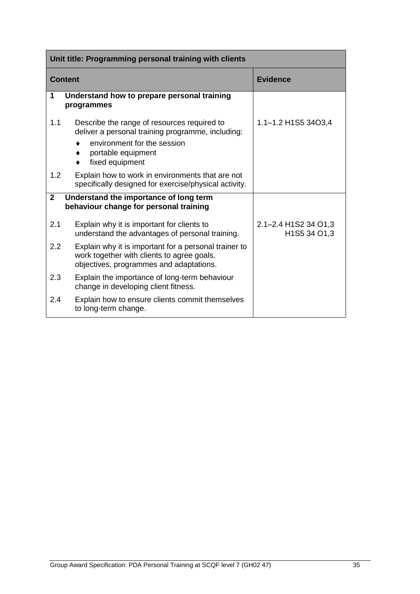|                | Unit title: Programming personal training with clients                                                                                         |                                      |  |  |
|----------------|------------------------------------------------------------------------------------------------------------------------------------------------|--------------------------------------|--|--|
| <b>Content</b> |                                                                                                                                                | <b>Evidence</b>                      |  |  |
| 1              | Understand how to prepare personal training<br>programmes                                                                                      |                                      |  |  |
| 1.1            | Describe the range of resources required to<br>deliver a personal training programme, including:                                               | 1.1-1.2 H1S5 34O3,4                  |  |  |
|                | environment for the session<br>portable equipment<br>fixed equipment                                                                           |                                      |  |  |
| 1.2            | Explain how to work in environments that are not<br>specifically designed for exercise/physical activity.                                      |                                      |  |  |
| $\mathbf{2}$   | Understand the importance of long term<br>behaviour change for personal training                                                               |                                      |  |  |
| 2.1            | Explain why it is important for clients to<br>understand the advantages of personal training.                                                  | 2.1-2.4 H1S2 34 O1,3<br>H1S5 34 O1,3 |  |  |
| 2.2            | Explain why it is important for a personal trainer to<br>work together with clients to agree goals,<br>objectives, programmes and adaptations. |                                      |  |  |
| 2.3            | Explain the importance of long-term behaviour<br>change in developing client fitness.                                                          |                                      |  |  |
| 2.4            | Explain how to ensure clients commit themselves<br>to long-term change.                                                                        |                                      |  |  |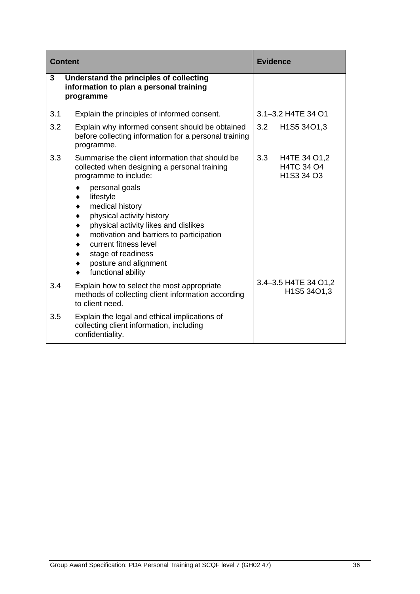|     | <b>Content</b>                                                                                                                                                                                                                                                | <b>Evidence</b>                                                                      |
|-----|---------------------------------------------------------------------------------------------------------------------------------------------------------------------------------------------------------------------------------------------------------------|--------------------------------------------------------------------------------------|
| 3   | Understand the principles of collecting<br>information to plan a personal training<br>programme                                                                                                                                                               |                                                                                      |
| 3.1 | Explain the principles of informed consent.                                                                                                                                                                                                                   | 3.1-3.2 H4TE 34 O1                                                                   |
| 3.2 | Explain why informed consent should be obtained<br>before collecting information for a personal training<br>programme.                                                                                                                                        | 3.2<br>H1S5 34O1,3                                                                   |
| 3.3 | Summarise the client information that should be<br>collected when designing a personal training<br>programme to include:                                                                                                                                      | 3.3<br>H4TE 34 O1,2<br>H4TC 34 O4<br>H <sub>1</sub> S <sub>3</sub> 34 O <sub>3</sub> |
|     | personal goals<br>lifestyle<br>medical history<br>physical activity history<br>physical activity likes and dislikes<br>motivation and barriers to participation<br>current fitness level<br>stage of readiness<br>posture and alignment<br>functional ability |                                                                                      |
| 3.4 | Explain how to select the most appropriate<br>methods of collecting client information according<br>to client need.                                                                                                                                           | 3.4-3.5 H4TE 34 O1,2<br>H1S5 34O1,3                                                  |
| 3.5 | Explain the legal and ethical implications of<br>collecting client information, including<br>confidentiality.                                                                                                                                                 |                                                                                      |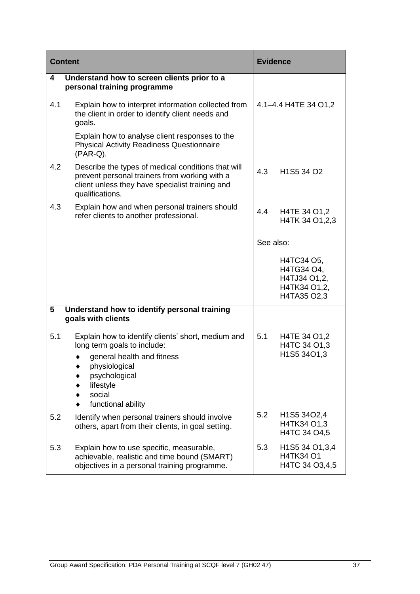| <b>Content</b> |                                                                                                                                                                                                | <b>Evidence</b> |                                                                         |
|----------------|------------------------------------------------------------------------------------------------------------------------------------------------------------------------------------------------|-----------------|-------------------------------------------------------------------------|
| 4              | Understand how to screen clients prior to a<br>personal training programme                                                                                                                     |                 |                                                                         |
| 4.1            | Explain how to interpret information collected from<br>the client in order to identify client needs and<br>goals.                                                                              |                 | 4.1-4.4 H4TE 34 O1,2                                                    |
|                | Explain how to analyse client responses to the<br><b>Physical Activity Readiness Questionnaire</b><br>$(PAR-Q)$ .                                                                              |                 |                                                                         |
| 4.2            | Describe the types of medical conditions that will<br>prevent personal trainers from working with a<br>client unless they have specialist training and<br>qualifications.                      | 4.3             | H1S5 34 O2                                                              |
| 4.3            | Explain how and when personal trainers should<br>refer clients to another professional.                                                                                                        | 4.4             | H4TE 34 O1,2<br>H4TK 34 O1, 2, 3                                        |
|                |                                                                                                                                                                                                | See also:       |                                                                         |
|                |                                                                                                                                                                                                |                 | H4TC34 O5,<br>H4TG34 O4,<br>H4TJ34 O1,2,<br>H4TK34 O1,2,<br>H4TA35 O2,3 |
| 5              | Understand how to identify personal training<br>goals with clients                                                                                                                             |                 |                                                                         |
| 5.1            | Explain how to identify clients' short, medium and<br>long term goals to include:<br>general health and fitness<br>physiological<br>psychological<br>lifestyle<br>social<br>functional ability | 5.1             | H4TE 34 O1,2<br>H4TC 34 O1,3<br>H1S5 34O1,3                             |
| 5.2            | Identify when personal trainers should involve<br>others, apart from their clients, in goal setting.                                                                                           | 5.2             | H1S5 34O2,4<br>H4TK34 O1,3<br>H4TC 34 O4,5                              |
| 5.3            | Explain how to use specific, measurable,<br>achievable, realistic and time bound (SMART)<br>objectives in a personal training programme.                                                       | 5.3             | H1S5 34 O1,3,4<br><b>H4TK34 O1</b><br>H4TC 34 O3,4,5                    |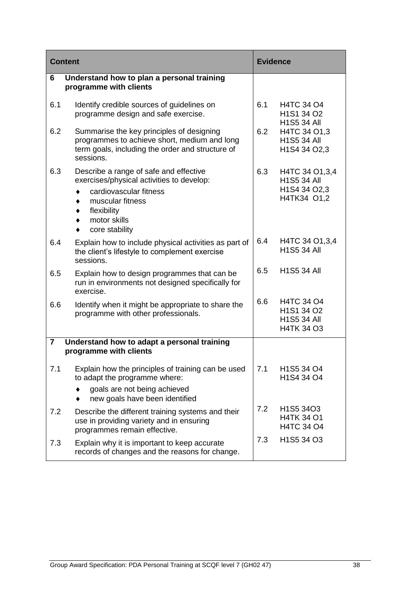| <b>Content</b> |                                                                                                                                                                                              | <b>Evidence</b> |                                                                       |
|----------------|----------------------------------------------------------------------------------------------------------------------------------------------------------------------------------------------|-----------------|-----------------------------------------------------------------------|
| 6              | Understand how to plan a personal training<br>programme with clients                                                                                                                         |                 |                                                                       |
| 6.1            | Identify credible sources of guidelines on<br>programme design and safe exercise.                                                                                                            | 6.1             | <b>H4TC 34 O4</b><br>H1S1 34 O2<br><b>H1S5 34 All</b>                 |
| 6.2            | Summarise the key principles of designing<br>programmes to achieve short, medium and long<br>term goals, including the order and structure of<br>sessions.                                   | 6.2             | H4TC 34 O1,3<br><b>H1S5 34 All</b><br>H1S4 34 O2,3                    |
| 6.3            | Describe a range of safe and effective<br>exercises/physical activities to develop:<br>cardiovascular fitness<br>٠<br>muscular fitness<br>flexibility<br>motor skills<br>core stability<br>٠ | 6.3             | H4TC 34 O1, 3, 4<br><b>H1S5 34 All</b><br>H1S4 34 O2,3<br>H4TK34 O1,2 |
| 6.4            | Explain how to include physical activities as part of<br>the client's lifestyle to complement exercise<br>sessions.                                                                          | 6.4             | H4TC 34 O1, 3, 4<br><b>H1S5 34 All</b>                                |
| 6.5            | Explain how to design programmes that can be<br>run in environments not designed specifically for<br>exercise.                                                                               | 6.5             | <b>H1S5 34 All</b>                                                    |
| 6.6            | Identify when it might be appropriate to share the<br>programme with other professionals.                                                                                                    | 6.6             | H4TC 34 O4<br>H1S1 34 O2<br><b>H1S5 34 All</b><br><b>H4TK 34 O3</b>   |
| 7              | Understand how to adapt a personal training<br>programme with clients                                                                                                                        |                 |                                                                       |
| 7.1            | Explain how the principles of training can be used<br>to adapt the programme where:<br>goals are not being achieved<br>new goals have been identified                                        | 7.1             | H1S5 34 O4<br>H1S4 34 O4                                              |
| 7.2            | Describe the different training systems and their<br>use in providing variety and in ensuring<br>programmes remain effective.                                                                | 7.2             | H1S5 34O3<br><b>H4TK 34 O1</b><br>H4TC 34 O4                          |
| 7.3            | Explain why it is important to keep accurate<br>records of changes and the reasons for change.                                                                                               | 7.3             | H <sub>1</sub> S <sub>5</sub> 34 O <sub>3</sub>                       |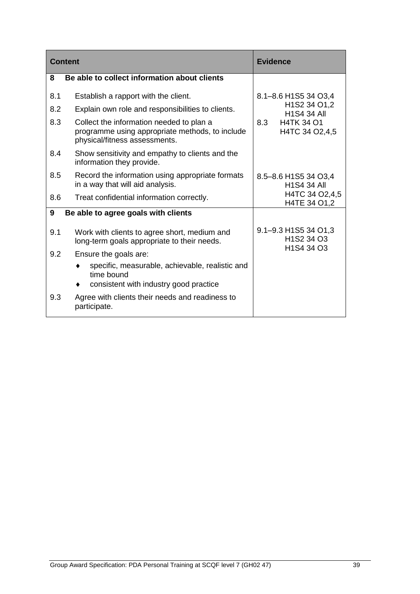| <b>Content</b> |                                                                                                                              | <b>Evidence</b>                                                                                                            |
|----------------|------------------------------------------------------------------------------------------------------------------------------|----------------------------------------------------------------------------------------------------------------------------|
| 8              | Be able to collect information about clients                                                                                 |                                                                                                                            |
| 8.1            | Establish a rapport with the client.                                                                                         | 8.1-8.6 H1S5 34 O3,4                                                                                                       |
| 8.2            | Explain own role and responsibilities to clients.                                                                            | H1S2 34 O1,2<br><b>H1S4 34 All</b>                                                                                         |
| 8.3            | Collect the information needed to plan a<br>programme using appropriate methods, to include<br>physical/fitness assessments. | <b>H4TK 34 O1</b><br>8.3<br>H4TC 34 O2,4,5                                                                                 |
| 8.4            | Show sensitivity and empathy to clients and the<br>information they provide.                                                 |                                                                                                                            |
| 8.5            | Record the information using appropriate formats<br>in a way that will aid analysis.                                         | 8.5-8.6 H1S5 34 O3,4<br><b>H1S4 34 All</b>                                                                                 |
| 8.6            | Treat confidential information correctly.                                                                                    | H4TC 34 O2,4,5<br>H4TE 34 O1,2                                                                                             |
| 9              | Be able to agree goals with clients                                                                                          |                                                                                                                            |
| 9.1            | Work with clients to agree short, medium and<br>long-term goals appropriate to their needs.                                  | 9.1-9.3 H1S5 34 O1,3<br>H <sub>1</sub> S <sub>2</sub> 34 O <sub>3</sub><br>H <sub>1</sub> S <sub>4</sub> 34 O <sub>3</sub> |
| 9.2            | Ensure the goals are:                                                                                                        |                                                                                                                            |
|                | specific, measurable, achievable, realistic and<br>time bound                                                                |                                                                                                                            |
|                | consistent with industry good practice                                                                                       |                                                                                                                            |
| 9.3            | Agree with clients their needs and readiness to<br>participate.                                                              |                                                                                                                            |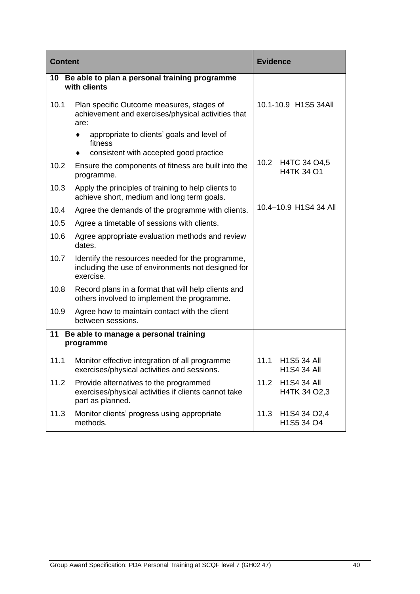| <b>Content</b> |                                                                                                                     | <b>Evidence</b>                                                          |
|----------------|---------------------------------------------------------------------------------------------------------------------|--------------------------------------------------------------------------|
| 10             | Be able to plan a personal training programme<br>with clients                                                       |                                                                          |
| 10.1           | Plan specific Outcome measures, stages of<br>achievement and exercises/physical activities that<br>are:             | 10.1-10.9 H1S5 34All                                                     |
|                | appropriate to clients' goals and level of<br>fitness                                                               |                                                                          |
|                | consistent with accepted good practice                                                                              |                                                                          |
| 10.2           | Ensure the components of fitness are built into the<br>programme.                                                   | 10.2 H4TC 34 O4,5<br><b>H4TK 34 O1</b>                                   |
| 10.3           | Apply the principles of training to help clients to<br>achieve short, medium and long term goals.                   |                                                                          |
| 10.4           | Agree the demands of the programme with clients.                                                                    | 10.4-10.9 H1S4 34 All                                                    |
| 10.5           | Agree a timetable of sessions with clients.                                                                         |                                                                          |
| 10.6           | Agree appropriate evaluation methods and review<br>dates.                                                           |                                                                          |
| 10.7           | Identify the resources needed for the programme,<br>including the use of environments not designed for<br>exercise. |                                                                          |
| 10.8           | Record plans in a format that will help clients and<br>others involved to implement the programme.                  |                                                                          |
| 10.9           | Agree how to maintain contact with the client<br>between sessions.                                                  |                                                                          |
| 11             | Be able to manage a personal training                                                                               |                                                                          |
|                | programme                                                                                                           |                                                                          |
| 11.1           | Monitor effective integration of all programme<br>exercises/physical activities and sessions.                       | <b>H1S5 34 All</b><br>11.1<br>H1S4 34 All                                |
| 11.2           | Provide alternatives to the programmed<br>exercises/physical activities if clients cannot take<br>part as planned.  | 11.2<br><b>H1S4 34 All</b><br>H4TK 34 O2,3                               |
| 11.3           | Monitor clients' progress using appropriate<br>methods.                                                             | 11.3<br>H <sub>1</sub> S <sub>4</sub> 34 O <sub>2</sub> ,4<br>H1S5 34 O4 |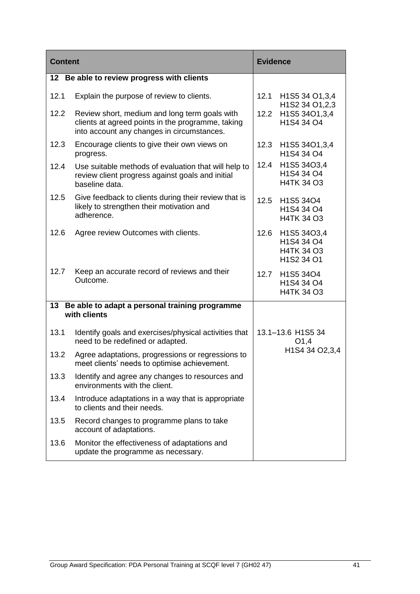| <b>Content</b> |                                                                                                                                                  | <b>Evidence</b>           |                                                                     |
|----------------|--------------------------------------------------------------------------------------------------------------------------------------------------|---------------------------|---------------------------------------------------------------------|
|                | 12 Be able to review progress with clients                                                                                                       |                           |                                                                     |
| 12.1           | Explain the purpose of review to clients.                                                                                                        | 12.1                      | H1S5 34 O1,3,4<br>H1S2 34 O1, 2, 3                                  |
| 12.2           | Review short, medium and long term goals with<br>clients at agreed points in the programme, taking<br>into account any changes in circumstances. | 12.2                      | H1S5 34O1,3,4<br>H1S4 34 O4                                         |
| 12.3           | Encourage clients to give their own views on<br>progress.                                                                                        | 12.3                      | H <sub>1</sub> S <sub>5</sub> 34O <sub>1</sub> , 3, 4<br>H1S4 34 O4 |
| 12.4           | Use suitable methods of evaluation that will help to<br>review client progress against goals and initial<br>baseline data.                       | 12.4                      | H1S5 34O3,4<br>H1S4 34 O4<br>H4TK 34 O3                             |
| 12.5           | Give feedback to clients during their review that is<br>likely to strengthen their motivation and<br>adherence.                                  | 12.5                      | H1S5 34O4<br>H1S4 34 O4<br><b>H4TK 34 O3</b>                        |
| 12.6           | Agree review Outcomes with clients.                                                                                                              | 12.6                      | H1S5 34O3,4<br>H1S4 34 O4<br>H4TK 34 O3<br>H1S2 34 O1               |
| 12.7           | Keep an accurate record of reviews and their<br>Outcome.                                                                                         | 12.7                      | H1S5 34O4<br>H1S4 34 O4<br>H4TK 34 O3                               |
| 13             | Be able to adapt a personal training programme<br>with clients                                                                                   |                           |                                                                     |
|                |                                                                                                                                                  |                           |                                                                     |
| 13.1           | Identify goals and exercises/physical activities that<br>need to be redefined or adapted.                                                        | 13.1-13.6 H1S5 34<br>O1,4 |                                                                     |
| 13.2           | Agree adaptations, progressions or regressions to<br>meet clients' needs to optimise achievement.                                                |                           | H1S4 34 O2,3,4                                                      |
| 13.3           | Identify and agree any changes to resources and<br>environments with the client.                                                                 |                           |                                                                     |
| 13.4           | Introduce adaptations in a way that is appropriate<br>to clients and their needs.                                                                |                           |                                                                     |
| 13.5           | Record changes to programme plans to take<br>account of adaptations.                                                                             |                           |                                                                     |
| 13.6           | Monitor the effectiveness of adaptations and<br>update the programme as necessary.                                                               |                           |                                                                     |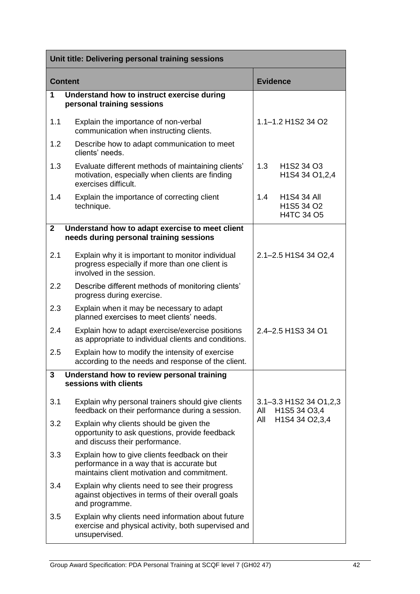|              | Unit title: Delivering personal training sessions                                                                                         |                                                                                                                  |
|--------------|-------------------------------------------------------------------------------------------------------------------------------------------|------------------------------------------------------------------------------------------------------------------|
|              | <b>Content</b>                                                                                                                            | <b>Evidence</b>                                                                                                  |
| 1            | Understand how to instruct exercise during<br>personal training sessions                                                                  |                                                                                                                  |
| 1.1          | Explain the importance of non-verbal<br>communication when instructing clients.                                                           | 1.1-1.2 H1S2 34 O2                                                                                               |
| 1.2          | Describe how to adapt communication to meet<br>clients' needs.                                                                            |                                                                                                                  |
| 1.3          | Evaluate different methods of maintaining clients'<br>motivation, especially when clients are finding<br>exercises difficult.             | 1.3<br>H <sub>1</sub> S <sub>2</sub> 34 O <sub>3</sub><br>H <sub>1</sub> S <sub>4</sub> 34 O <sub>1</sub> , 2, 4 |
| 1.4          | Explain the importance of correcting client<br>technique.                                                                                 | 1.4<br><b>H1S4 34 All</b><br>H1S5 34 O2<br>H4TC 34 O5                                                            |
| $\mathbf{2}$ | Understand how to adapt exercise to meet client<br>needs during personal training sessions                                                |                                                                                                                  |
| 2.1          | Explain why it is important to monitor individual<br>progress especially if more than one client is<br>involved in the session.           | 2.1-2.5 H1S4 34 O2,4                                                                                             |
| $2.2\,$      | Describe different methods of monitoring clients'<br>progress during exercise.                                                            |                                                                                                                  |
| 2.3          | Explain when it may be necessary to adapt<br>planned exercises to meet clients' needs.                                                    |                                                                                                                  |
| 2.4          | Explain how to adapt exercise/exercise positions<br>as appropriate to individual clients and conditions.                                  | 2.4-2.5 H1S3 34 O1                                                                                               |
| 2.5          | Explain how to modify the intensity of exercise<br>according to the needs and response of the client.                                     |                                                                                                                  |
| 3            | Understand how to review personal training<br>sessions with clients                                                                       |                                                                                                                  |
| 3.1          | Explain why personal trainers should give clients<br>feedback on their performance during a session.                                      | 3.1–3.3 H1S2 34 O1, 2, 3<br>H1S5 34 O3,4<br>All                                                                  |
| 3.2          | Explain why clients should be given the<br>opportunity to ask questions, provide feedback<br>and discuss their performance.               | H1S4 34 O2,3,4<br>All                                                                                            |
| 3.3          | Explain how to give clients feedback on their<br>performance in a way that is accurate but<br>maintains client motivation and commitment. |                                                                                                                  |
| 3.4          | Explain why clients need to see their progress<br>against objectives in terms of their overall goals<br>and programme.                    |                                                                                                                  |
| 3.5          | Explain why clients need information about future<br>exercise and physical activity, both supervised and<br>unsupervised.                 |                                                                                                                  |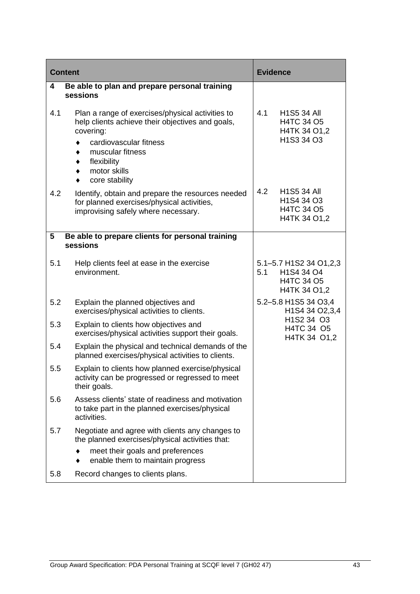| <b>Content</b> |                                                                                                                                                                                                                  | <b>Evidence</b>                                                                                            |
|----------------|------------------------------------------------------------------------------------------------------------------------------------------------------------------------------------------------------------------|------------------------------------------------------------------------------------------------------------|
| 4              | Be able to plan and prepare personal training<br>sessions                                                                                                                                                        |                                                                                                            |
| 4.1            | Plan a range of exercises/physical activities to<br>help clients achieve their objectives and goals,<br>covering:<br>cardiovascular fitness<br>muscular fitness<br>flexibility<br>motor skills<br>core stability | 4.1<br><b>H1S5 34 All</b><br>H4TC 34 O5<br>H4TK 34 O1,2<br>H1S3 34 O3                                      |
| 4.2            | Identify, obtain and prepare the resources needed<br>for planned exercises/physical activities,<br>improvising safely where necessary.                                                                           | 4.2<br><b>H1S5 34 All</b><br>H <sub>1</sub> S <sub>4</sub> 34 O <sub>3</sub><br>H4TC 34 O5<br>H4TK 34 O1,2 |
| 5              | Be able to prepare clients for personal training<br>sessions                                                                                                                                                     |                                                                                                            |
| 5.1            | Help clients feel at ease in the exercise<br>environment.                                                                                                                                                        | 5.1–5.7 H1S2 34 O1,2,3<br>5.1<br>H1S4 34 O4<br>H4TC 34 O5<br>H4TK 34 O1,2                                  |
| 5.2            | Explain the planned objectives and<br>exercises/physical activities to clients.                                                                                                                                  | 5.2-5.8 H1S5 34 O3,4<br>H1S4 34 O2,3,4                                                                     |
| 5.3            | Explain to clients how objectives and<br>exercises/physical activities support their goals.                                                                                                                      | H1S2 34 O3<br>H4TC 34 O5<br>H4TK 34 O1,2                                                                   |
| 5.4            | Explain the physical and technical demands of the<br>planned exercises/physical activities to clients.                                                                                                           |                                                                                                            |
| 5.5            | Explain to clients how planned exercise/physical<br>activity can be progressed or regressed to meet<br>their goals.                                                                                              |                                                                                                            |
| 5.6            | Assess clients' state of readiness and motivation<br>to take part in the planned exercises/physical<br>activities.                                                                                               |                                                                                                            |
| 5.7            | Negotiate and agree with clients any changes to<br>the planned exercises/physical activities that:<br>meet their goals and preferences                                                                           |                                                                                                            |
|                | enable them to maintain progress                                                                                                                                                                                 |                                                                                                            |
| 5.8            | Record changes to clients plans.                                                                                                                                                                                 |                                                                                                            |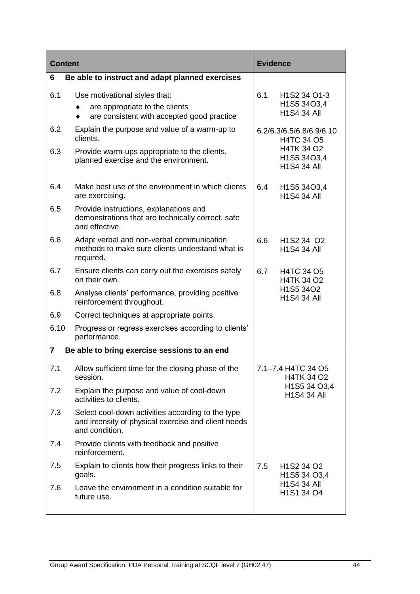| <b>Content</b>          |                                                                                                                            | <b>Evidence</b> |                                                                                         |
|-------------------------|----------------------------------------------------------------------------------------------------------------------------|-----------------|-----------------------------------------------------------------------------------------|
| 6                       | Be able to instruct and adapt planned exercises                                                                            |                 |                                                                                         |
| 6.1                     | Use motivational styles that:<br>are appropriate to the clients<br>are consistent with accepted good practice              | 6.1             | H <sub>1</sub> S <sub>2</sub> 34 O <sub>1</sub> -3<br>H1S5 34O3,4<br><b>H1S4 34 All</b> |
| 6.2                     | Explain the purpose and value of a warm-up to<br>clients.                                                                  |                 | 6.2/6.3/6.5/6.8/6.9/6.10<br><b>H4TC 34 O5</b>                                           |
| 6.3                     | Provide warm-ups appropriate to the clients,<br>planned exercise and the environment.                                      |                 | <b>H4TK 34 O2</b><br>H1S5 34O3,4<br><b>H1S4 34 All</b>                                  |
| 6.4                     | Make best use of the environment in which clients<br>are exercising.                                                       | 6.4             | H <sub>1</sub> S <sub>5</sub> 34O <sub>3</sub> ,4<br><b>H1S4 34 All</b>                 |
| 6.5                     | Provide instructions, explanations and<br>demonstrations that are technically correct, safe<br>and effective.              |                 |                                                                                         |
| 6.6                     | Adapt verbal and non-verbal communication<br>methods to make sure clients understand what is<br>required.                  | 6.6             | H <sub>1</sub> S <sub>2</sub> 34 O <sub>2</sub><br><b>H1S4 34 All</b>                   |
| 6.7                     | Ensure clients can carry out the exercises safely<br>on their own.                                                         | 6.7             | <b>H4TC 34 O5</b><br><b>H4TK 34 O2</b>                                                  |
| 6.8                     | Analyse clients' performance, providing positive<br>reinforcement throughout.                                              |                 | H1S5 34O2<br><b>H1S4 34 All</b>                                                         |
| 6.9                     | Correct techniques at appropriate points.                                                                                  |                 |                                                                                         |
| 6.10                    | Progress or regress exercises according to clients'<br>performance.                                                        |                 |                                                                                         |
| $\overline{\mathbf{7}}$ | Be able to bring exercise sessions to an end                                                                               |                 |                                                                                         |
| 7.1                     | Allow sufficient time for the closing phase of the<br>session.                                                             |                 | 7.1–7.4 H4TC 34 O5<br><b>H4TK 34 O2</b>                                                 |
| 7.2                     | Explain the purpose and value of cool-down<br>activities to clients.                                                       |                 | H1S5 34 O3,4<br><b>H1S4 34 All</b>                                                      |
| 7.3                     | Select cool-down activities according to the type<br>and intensity of physical exercise and client needs<br>and condition. |                 |                                                                                         |
| 7.4                     | Provide clients with feedback and positive<br>reinforcement.                                                               |                 |                                                                                         |
| 7.5                     | Explain to clients how their progress links to their<br>goals.                                                             | 7.5             | H <sub>1</sub> S <sub>2</sub> 34 O <sub>2</sub><br>H1S5 34 O3,4                         |
| 7.6                     | Leave the environment in a condition suitable for<br>future use.                                                           |                 | <b>H1S4 34 All</b><br>H1S1 34 O4                                                        |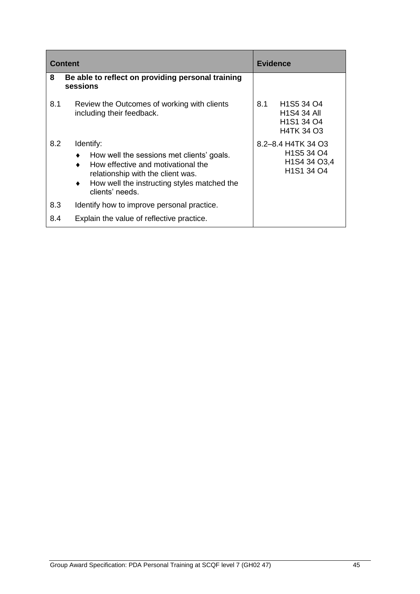| <b>Content</b> |                                                                                                                                                                                                                       | <b>Evidence</b>                                                                                                                                                                 |
|----------------|-----------------------------------------------------------------------------------------------------------------------------------------------------------------------------------------------------------------------|---------------------------------------------------------------------------------------------------------------------------------------------------------------------------------|
| 8              | Be able to reflect on providing personal training<br>sessions                                                                                                                                                         |                                                                                                                                                                                 |
| 8.1            | Review the Outcomes of working with clients<br>including their feedback.                                                                                                                                              | 8.1<br>H <sub>1</sub> S <sub>5</sub> 34 O <sub>4</sub><br><b>H1S4 34 All</b><br>H <sub>1</sub> S <sub>1</sub> 34 O <sub>4</sub><br><b>H4TK 34 O3</b>                            |
| 8.2            | Identify:<br>How well the sessions met clients' goals.<br>٠<br>How effective and motivational the<br>relationship with the client was.<br>How well the instructing styles matched the<br>$\bullet$<br>clients' needs. | 8.2–8.4 H4TK 34 O3<br>H <sub>1</sub> S <sub>5</sub> 34 O <sub>4</sub><br>H <sub>1</sub> S <sub>4</sub> 34 O <sub>3</sub> , 4<br>H <sub>1</sub> S <sub>1</sub> 34 O <sub>4</sub> |
| 8.3            | Identify how to improve personal practice.                                                                                                                                                                            |                                                                                                                                                                                 |
| 8.4            | Explain the value of reflective practice.                                                                                                                                                                             |                                                                                                                                                                                 |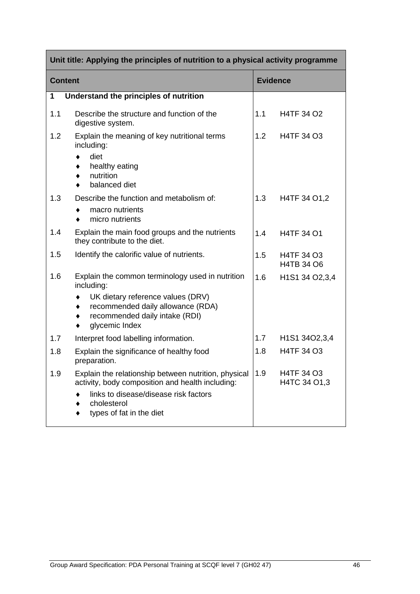| Unit title: Applying the principles of nutrition to a physical activity programme |                                                                                                                                                                                              |                 |                                                        |
|-----------------------------------------------------------------------------------|----------------------------------------------------------------------------------------------------------------------------------------------------------------------------------------------|-----------------|--------------------------------------------------------|
| <b>Content</b>                                                                    |                                                                                                                                                                                              | <b>Evidence</b> |                                                        |
| 1                                                                                 | Understand the principles of nutrition                                                                                                                                                       |                 |                                                        |
| 1.1                                                                               | Describe the structure and function of the<br>digestive system.                                                                                                                              | 1.1             | <b>H4TF 34 O2</b>                                      |
| 1.2                                                                               | Explain the meaning of key nutritional terms<br>including:<br>diet<br>healthy eating<br>nutrition<br>balanced diet                                                                           | 1.2             | <b>H4TF 34 O3</b>                                      |
| 1.3                                                                               | Describe the function and metabolism of:<br>macro nutrients<br>micro nutrients<br>٠                                                                                                          | 1.3             | H4TF 34 O1,2                                           |
| 1.4                                                                               | Explain the main food groups and the nutrients<br>they contribute to the diet.                                                                                                               | 1.4             | <b>H4TF 34 O1</b>                                      |
| 1.5                                                                               | Identify the calorific value of nutrients.                                                                                                                                                   | 1.5             | <b>H4TF 34 O3</b><br>H4TB 34 O6                        |
| 1.6                                                                               | Explain the common terminology used in nutrition<br>including:                                                                                                                               | 1.6             | H <sub>1</sub> S <sub>1</sub> 34 O <sub>2</sub> , 3, 4 |
|                                                                                   | UK dietary reference values (DRV)<br>recommended daily allowance (RDA)<br>٠<br>recommended daily intake (RDI)<br>٠<br>glycemic Index<br>٠                                                    |                 |                                                        |
| 1.7                                                                               | Interpret food labelling information.                                                                                                                                                        | 1.7             | H <sub>1</sub> S <sub>1</sub> 34O <sub>2</sub> , 3, 4  |
| 1.8                                                                               | Explain the significance of healthy food<br>preparation.                                                                                                                                     | 1.8             | <b>H4TF 34 O3</b>                                      |
| 1.9                                                                               | Explain the relationship between nutrition, physical<br>activity, body composition and health including:<br>links to disease/disease risk factors<br>cholesterol<br>types of fat in the diet | 1.9             | H4TF 34 O3<br>H4TC 34 O1,3                             |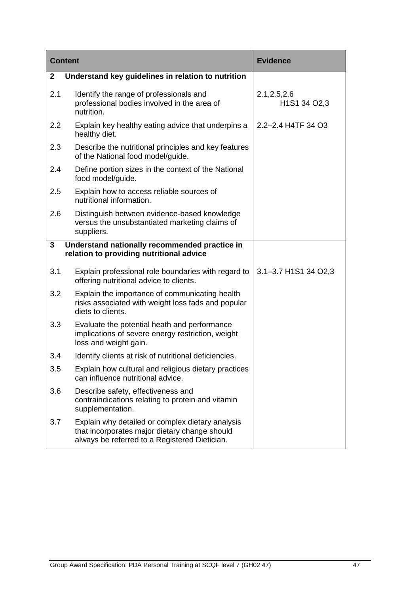| <b>Content</b> |                                                                                                                                                    | <b>Evidence</b>               |
|----------------|----------------------------------------------------------------------------------------------------------------------------------------------------|-------------------------------|
| 2              | Understand key guidelines in relation to nutrition                                                                                                 |                               |
| 2.1            | Identify the range of professionals and<br>professional bodies involved in the area of<br>nutrition.                                               | 2.1, 2.5, 2.6<br>H1S1 34 O2,3 |
| 2.2            | Explain key healthy eating advice that underpins a<br>healthy diet.                                                                                | 2.2-2.4 H4TF 34 O3            |
| 2.3            | Describe the nutritional principles and key features<br>of the National food model/guide.                                                          |                               |
| 2.4            | Define portion sizes in the context of the National<br>food model/guide.                                                                           |                               |
| 2.5            | Explain how to access reliable sources of<br>nutritional information.                                                                              |                               |
| 2.6            | Distinguish between evidence-based knowledge<br>versus the unsubstantiated marketing claims of<br>suppliers.                                       |                               |
| 3              | Understand nationally recommended practice in<br>relation to providing nutritional advice                                                          |                               |
|                |                                                                                                                                                    |                               |
| 3.1            | Explain professional role boundaries with regard to<br>offering nutritional advice to clients.                                                     | 3.1-3.7 H1S1 34 O2,3          |
| 3.2            | Explain the importance of communicating health<br>risks associated with weight loss fads and popular<br>diets to clients.                          |                               |
| 3.3            | Evaluate the potential heath and performance<br>implications of severe energy restriction, weight<br>loss and weight gain.                         |                               |
| 3.4            | Identify clients at risk of nutritional deficiencies.                                                                                              |                               |
| 3.5            | Explain how cultural and religious dietary practices<br>can influence nutritional advice.                                                          |                               |
| 3.6            | Describe safety, effectiveness and<br>contraindications relating to protein and vitamin<br>supplementation.                                        |                               |
| 3.7            | Explain why detailed or complex dietary analysis<br>that incorporates major dietary change should<br>always be referred to a Registered Dietician. |                               |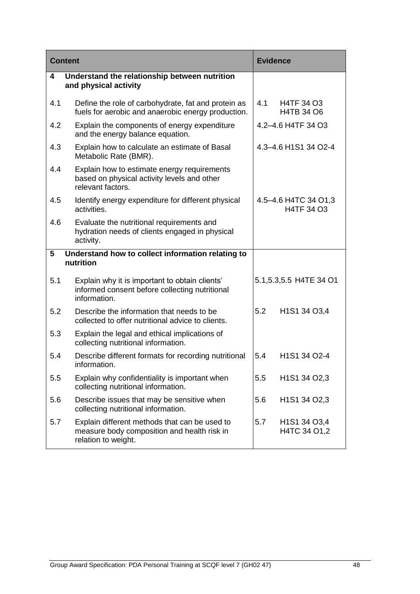| <b>Content</b> |                                                                                                                     | <b>Evidence</b> |                                                     |
|----------------|---------------------------------------------------------------------------------------------------------------------|-----------------|-----------------------------------------------------|
| 4              | Understand the relationship between nutrition<br>and physical activity                                              |                 |                                                     |
| 4.1            | Define the role of carbohydrate, fat and protein as<br>fuels for aerobic and anaerobic energy production.           | 4.1             | H4TF 34 O3<br>H4TB 34 O6                            |
| 4.2            | Explain the components of energy expenditure<br>and the energy balance equation.                                    |                 | 4.2-4.6 H4TF 34 O3                                  |
| 4.3            | Explain how to calculate an estimate of Basal<br>Metabolic Rate (BMR).                                              |                 | 4.3-4.6 H1S1 34 O2-4                                |
| 4.4            | Explain how to estimate energy requirements<br>based on physical activity levels and other<br>relevant factors.     |                 |                                                     |
| 4.5            | Identify energy expenditure for different physical<br>activities.                                                   |                 | 4.5-4.6 H4TC 34 O1,3<br>H4TF 34 O3                  |
| 4.6            | Evaluate the nutritional requirements and<br>hydration needs of clients engaged in physical<br>activity.            |                 |                                                     |
| 5              | Understand how to collect information relating to<br>nutrition                                                      |                 |                                                     |
| 5.1            | Explain why it is important to obtain clients'<br>informed consent before collecting nutritional<br>information.    |                 | 5.1, 5.3, 5.5 H4TE 34 O1                            |
| 5.2            | Describe the information that needs to be<br>collected to offer nutritional advice to clients.                      | 5.2             | H1S1 34 O3,4                                        |
| 5.3            | Explain the legal and ethical implications of<br>collecting nutritional information.                                |                 |                                                     |
| 5.4            | Describe different formats for recording nutritional<br>information                                                 | 5.4             | H1S1 34 O2-4                                        |
| 5.5            | Explain why confidentiality is important when<br>collecting nutritional information.                                | 5.5             | H <sub>1</sub> S <sub>1</sub> 34 O <sub>2</sub> , 3 |
| 5.6            | Describe issues that may be sensitive when<br>collecting nutritional information.                                   | 5.6             | H1S1 34 O2,3                                        |
| 5.7            | Explain different methods that can be used to<br>measure body composition and health risk in<br>relation to weight. | 5.7             | H1S1 34 O3,4<br>H4TC 34 O1,2                        |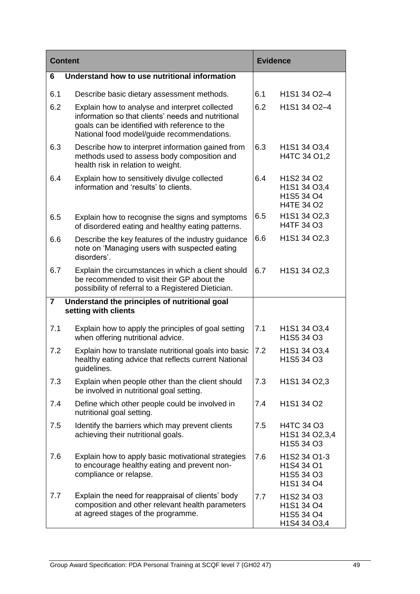| <b>Content</b>          |                                                                                                                                                                                                     | <b>Evidence</b> |                                                                    |
|-------------------------|-----------------------------------------------------------------------------------------------------------------------------------------------------------------------------------------------------|-----------------|--------------------------------------------------------------------|
| 6                       | Understand how to use nutritional information                                                                                                                                                       |                 |                                                                    |
| 6.1                     | Describe basic dietary assessment methods.                                                                                                                                                          | 6.1             | H1S1 34 O2-4                                                       |
| 6.2                     | Explain how to analyse and interpret collected<br>information so that clients' needs and nutritional<br>goals can be identified with reference to the<br>National food model/guide recommendations. | 6.2             | H1S1 34 O2-4                                                       |
| 6.3                     | Describe how to interpret information gained from<br>methods used to assess body composition and<br>health risk in relation to weight.                                                              | 6.3             | H <sub>1</sub> S <sub>1</sub> 34 O <sub>3</sub> ,4<br>H4TC 34 O1,2 |
| 6.4                     | Explain how to sensitively divulge collected<br>information and 'results' to clients.                                                                                                               | 6.4             | H1S2 34 O2<br>H1S1 34 O3,4<br>H1S5 34 O4<br>H4TE 34 O2             |
| 6.5                     | Explain how to recognise the signs and symptoms<br>of disordered eating and healthy eating patterns.                                                                                                | 6.5             | H1S1 34 O2,3<br>H4TF 34 O3                                         |
| 6.6                     | Describe the key features of the industry guidance<br>note on 'Managing users with suspected eating<br>disorders'.                                                                                  | 6.6             | H1S1 34 O2,3                                                       |
| 6.7                     | Explain the circumstances in which a client should<br>be recommended to visit their GP about the<br>possibility of referral to a Registered Dietician.                                              | 6.7             | H1S1 34 O2,3                                                       |
| $\overline{\mathbf{7}}$ | Understand the principles of nutritional goal<br>setting with clients                                                                                                                               |                 |                                                                    |
| 7.1                     | Explain how to apply the principles of goal setting<br>when offering nutritional advice.                                                                                                            | 7.1             | H <sub>1</sub> S <sub>1</sub> 34 O <sub>3</sub> ,4<br>H1S5 34 O3   |
| 7.2                     | Explain how to translate nutritional goals into basic<br>healthy eating advice that reflects current National<br>guidelines.                                                                        | 7.2             | H1S1 34 O3,4<br>H1S5 34 O3                                         |
| 7.3                     | Explain when people other than the client should<br>be involved in nutritional goal setting.                                                                                                        | 7.3             | H1S1 34 O2,3                                                       |
| 7.4                     | Define which other people could be involved in<br>nutritional goal setting.                                                                                                                         | 7.4             | H1S1 34 O2                                                         |
| 7.5                     | Identify the barriers which may prevent clients<br>achieving their nutritional goals.                                                                                                               | 7.5             | H4TC 34 O3<br>H1S1 34 O2,3,4<br>H1S5 34 O3                         |
| 7.6                     | Explain how to apply basic motivational strategies<br>to encourage healthy eating and prevent non-<br>compliance or relapse.                                                                        | 7.6             | H1S2 34 O1-3<br>H1S4 34 O1<br>H1S5 34 O3<br>H1S1 34 O4             |
| 7.7                     | Explain the need for reappraisal of clients' body<br>composition and other relevant health parameters<br>at agreed stages of the programme.                                                         | 7.7             | H1S2 34 O3<br>H1S1 34 O4<br>H1S5 34 O4<br>H1S4 34 O3,4             |